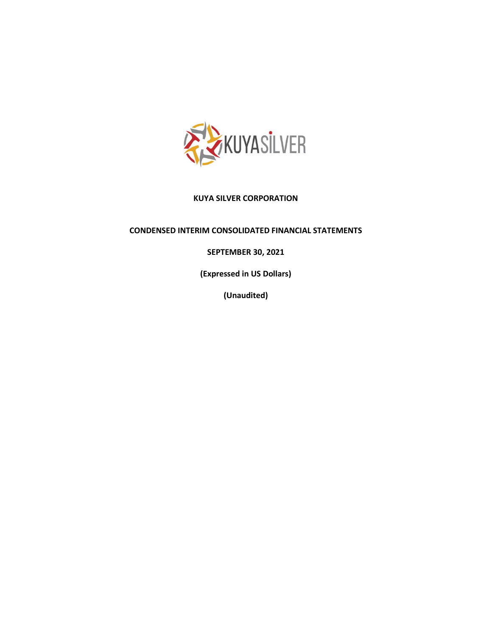

### **KUYA SILVER CORPORATION**

### **CONDENSED INTERIM CONSOLIDATED FINANCIAL STATEMENTS**

# **SEPTEMBER 30, 2021**

**(Expressed in US Dollars)**

**(Unaudited)**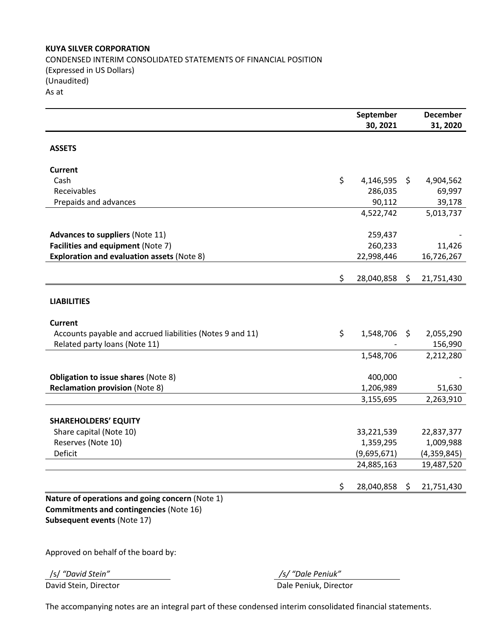### **KUYA SILVER CORPORATION**

CONDENSED INTERIM CONSOLIDATED STATEMENTS OF FINANCIAL POSITION (Expressed in US Dollars) (Unaudited) As at

|                                                           | September                |     | <b>December</b>         |
|-----------------------------------------------------------|--------------------------|-----|-------------------------|
|                                                           | 30, 2021                 |     | 31, 2020                |
| <b>ASSETS</b>                                             |                          |     |                         |
|                                                           |                          |     |                         |
| <b>Current</b>                                            |                          |     |                         |
| Cash                                                      | \$<br>4,146,595          | \$  | 4,904,562               |
| Receivables                                               | 286,035                  |     | 69,997                  |
| Prepaids and advances                                     | 90,112                   |     | 39,178                  |
|                                                           | 4,522,742                |     | 5,013,737               |
| <b>Advances to suppliers (Note 11)</b>                    | 259,437                  |     |                         |
| Facilities and equipment (Note 7)                         | 260,233                  |     | 11,426                  |
| <b>Exploration and evaluation assets (Note 8)</b>         | 22,998,446               |     | 16,726,267              |
|                                                           | \$<br>28,040,858         | \$  | 21,751,430              |
|                                                           |                          |     |                         |
| <b>LIABILITIES</b>                                        |                          |     |                         |
| <b>Current</b>                                            |                          |     |                         |
| Accounts payable and accrued liabilities (Notes 9 and 11) | \$<br>1,548,706          | \$. | 2,055,290               |
| Related party loans (Note 11)                             |                          |     | 156,990                 |
|                                                           | 1,548,706                |     | 2,212,280               |
| <b>Obligation to issue shares (Note 8)</b>                | 400,000                  |     |                         |
| <b>Reclamation provision (Note 8)</b>                     | 1,206,989                |     | 51,630                  |
|                                                           | 3,155,695                |     | 2,263,910               |
|                                                           |                          |     |                         |
| <b>SHAREHOLDERS' EQUITY</b>                               |                          |     |                         |
| Share capital (Note 10)                                   | 33,221,539               |     | 22,837,377<br>1,009,988 |
| Reserves (Note 10)<br>Deficit                             | 1,359,295<br>(9,695,671) |     | (4,359,845)             |
|                                                           | 24,885,163               |     | 19,487,520              |
|                                                           |                          |     |                         |
|                                                           | \$<br>28,040,858         | \$  | 21,751,430              |
| Nature of operations and going concern (Note 1)           |                          |     |                         |
| <b>Commitments and contingencies (Note 16)</b>            |                          |     |                         |
| Subsequent events (Note 17)                               |                          |     |                         |
|                                                           |                          |     |                         |

Approved on behalf of the board by:

/s/ *"David Stein" /s/ "Dale Peniuk"* David Stein, Director **Dale Peniuk, Director** 

The accompanying notes are an integral part of these condensed interim consolidated financial statements.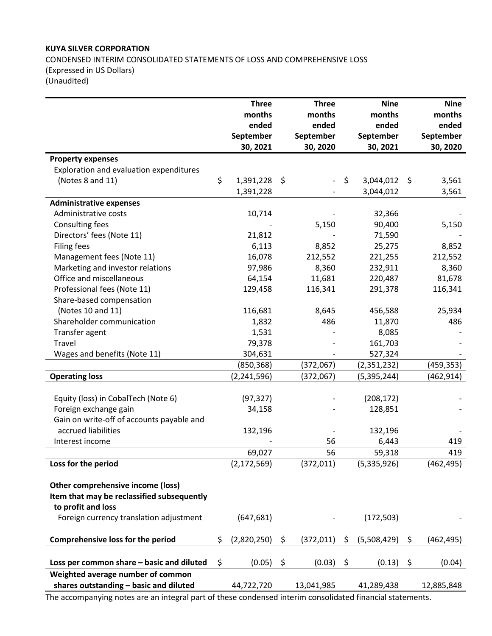# **KUYA SILVER CORPORATION** CONDENSED INTERIM CONSOLIDATED STATEMENTS OF LOSS AND COMPREHENSIVE LOSS (Expressed in US Dollars) (Unaudited)

|                                            | <b>Three</b>      | <b>Three</b>     |      | <b>Nine</b>   | <b>Nine</b>      |
|--------------------------------------------|-------------------|------------------|------|---------------|------------------|
|                                            | months            | months           |      | months        | months           |
|                                            | ended             | ended            |      | ended         | ended            |
|                                            | September         | September        |      | September     | September        |
|                                            | 30, 2021          | 30, 2020         |      | 30, 2021      | 30, 2020         |
| <b>Property expenses</b>                   |                   |                  |      |               |                  |
| Exploration and evaluation expenditures    |                   |                  |      |               |                  |
| (Notes 8 and 11)                           | \$<br>1,391,228   | \$               | - \$ | 3,044,012     | \$<br>3,561      |
|                                            | 1,391,228         |                  |      | 3,044,012     | 3,561            |
| <b>Administrative expenses</b>             |                   |                  |      |               |                  |
| Administrative costs                       | 10,714            |                  |      | 32,366        |                  |
| Consulting fees                            |                   | 5,150            |      | 90,400        | 5,150            |
| Directors' fees (Note 11)                  | 21,812            |                  |      | 71,590        |                  |
| <b>Filing fees</b>                         | 6,113             | 8,852            |      | 25,275        | 8,852            |
| Management fees (Note 11)                  | 16,078            | 212,552          |      | 221,255       | 212,552          |
| Marketing and investor relations           | 97,986            | 8,360            |      | 232,911       | 8,360            |
| Office and miscellaneous                   | 64,154            | 11,681           |      | 220,487       | 81,678           |
| Professional fees (Note 11)                | 129,458           | 116,341          |      | 291,378       | 116,341          |
| Share-based compensation                   |                   |                  |      |               |                  |
| (Notes 10 and 11)                          | 116,681           | 8,645            |      | 456,588       | 25,934           |
| Shareholder communication                  | 1,832             | 486              |      | 11,870        | 486              |
| Transfer agent                             | 1,531             |                  |      | 8,085         |                  |
| Travel                                     | 79,378            |                  |      | 161,703       |                  |
| Wages and benefits (Note 11)               | 304,631           |                  |      | 527,324       |                  |
|                                            | (850, 368)        | (372,067)        |      | (2,351,232)   | (459,353)        |
| <b>Operating loss</b>                      | (2, 241, 596)     | (372,067)        |      | (5, 395, 244) | (462, 914)       |
|                                            |                   |                  |      |               |                  |
| Equity (loss) in CobalTech (Note 6)        | (97, 327)         |                  |      | (208, 172)    |                  |
| Foreign exchange gain                      | 34,158            |                  |      | 128,851       |                  |
| Gain on write-off of accounts payable and  |                   |                  |      |               |                  |
| accrued liabilities                        | 132,196           |                  |      | 132,196       |                  |
| Interest income                            |                   | 56               |      | 6,443         | 419              |
|                                            | 69,027            | 56               |      | 59,318        | 419              |
| Loss for the period                        | (2, 172, 569)     | (372, 011)       |      | (5,335,926)   | (462, 495)       |
|                                            |                   |                  |      |               |                  |
| Other comprehensive income (loss)          |                   |                  |      |               |                  |
| Item that may be reclassified subsequently |                   |                  |      |               |                  |
| to profit and loss                         |                   |                  |      |               |                  |
| Foreign currency translation adjustment    | (647, 681)        |                  |      | (172,503)     |                  |
|                                            |                   |                  |      |               |                  |
| Comprehensive loss for the period          | \$<br>(2,820,250) | \$<br>(372, 011) | \$   | (5,508,429)   | \$<br>(462, 495) |
| Loss per common share - basic and diluted  | \$<br>(0.05)      | \$<br>(0.03)     | \$   | (0.13)        | \$<br>(0.04)     |
| Weighted average number of common          |                   |                  |      |               |                  |
| shares outstanding - basic and diluted     | 44,722,720        |                  |      |               | 12,885,848       |
|                                            |                   | 13,041,985       |      | 41,289,438    |                  |

The accompanying notes are an integral part of these condensed interim consolidated financial statements.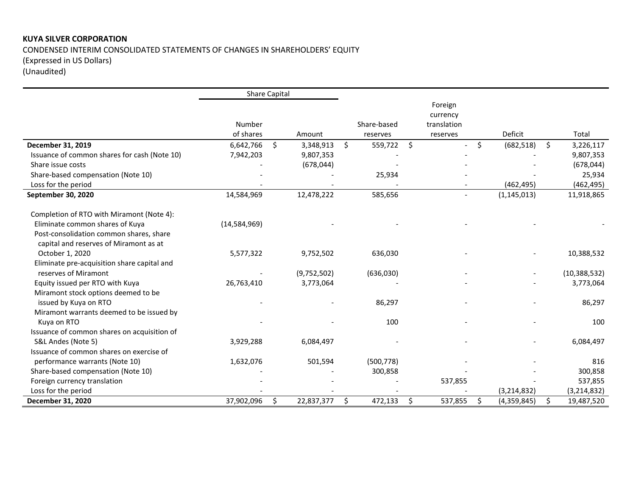# **KUYA SILVER CORPORATION** CONDENSED INTERIM CONSOLIDATED STATEMENTS OF CHANGES IN SHAREHOLDERS' EQUITY (Expressed in US Dollars) (Unaudited)

|                                              | <b>Share Capital</b> |                  |               |              |             |                   |                  |
|----------------------------------------------|----------------------|------------------|---------------|--------------|-------------|-------------------|------------------|
|                                              |                      |                  |               |              | Foreign     |                   |                  |
|                                              |                      |                  |               |              | currency    |                   |                  |
|                                              | Number               |                  | Share-based   |              | translation |                   |                  |
|                                              | of shares            | Amount           | reserves      |              | reserves    | Deficit           | Total            |
| December 31, 2019                            | 6,642,766            | \$<br>3,348,913  | \$<br>559,722 | $\mathsf{S}$ |             | \$<br>(682, 518)  | \$<br>3,226,117  |
| Issuance of common shares for cash (Note 10) | 7,942,203            | 9,807,353        |               |              |             |                   | 9,807,353        |
| Share issue costs                            |                      | (678, 044)       |               |              |             |                   | (678, 044)       |
| Share-based compensation (Note 10)           |                      |                  | 25,934        |              |             |                   | 25,934           |
| Loss for the period                          |                      |                  |               |              |             | (462, 495)        | (462, 495)       |
| September 30, 2020                           | 14,584,969           | 12,478,222       | 585,656       |              |             | (1, 145, 013)     | 11,918,865       |
| Completion of RTO with Miramont (Note 4):    |                      |                  |               |              |             |                   |                  |
| Eliminate common shares of Kuya              | (14,584,969)         |                  |               |              |             |                   |                  |
| Post-consolidation common shares, share      |                      |                  |               |              |             |                   |                  |
| capital and reserves of Miramont as at       |                      |                  |               |              |             |                   |                  |
| October 1, 2020                              | 5,577,322            | 9,752,502        | 636,030       |              |             |                   | 10,388,532       |
| Eliminate pre-acquisition share capital and  |                      |                  |               |              |             |                   |                  |
| reserves of Miramont                         |                      | (9,752,502)      | (636,030)     |              |             |                   | (10, 388, 532)   |
| Equity issued per RTO with Kuya              | 26,763,410           | 3,773,064        |               |              |             |                   | 3,773,064        |
| Miramont stock options deemed to be          |                      |                  |               |              |             |                   |                  |
| issued by Kuya on RTO                        |                      |                  | 86,297        |              |             |                   | 86,297           |
| Miramont warrants deemed to be issued by     |                      |                  |               |              |             |                   |                  |
| Kuya on RTO                                  |                      |                  | 100           |              |             |                   | 100              |
| Issuance of common shares on acquisition of  |                      |                  |               |              |             |                   |                  |
| S&L Andes (Note 5)                           | 3,929,288            | 6,084,497        |               |              |             |                   | 6,084,497        |
| Issuance of common shares on exercise of     |                      |                  |               |              |             |                   |                  |
| performance warrants (Note 10)               | 1,632,076            | 501,594          | (500, 778)    |              |             |                   | 816              |
| Share-based compensation (Note 10)           |                      |                  | 300,858       |              |             |                   | 300,858          |
| Foreign currency translation                 |                      |                  |               |              | 537,855     |                   | 537,855          |
| Loss for the period                          |                      |                  |               |              |             | (3, 214, 832)     | (3, 214, 832)    |
| December 31, 2020                            | 37,902,096           | \$<br>22,837,377 | \$<br>472,133 | -\$          | 537,855     | \$<br>(4,359,845) | \$<br>19,487,520 |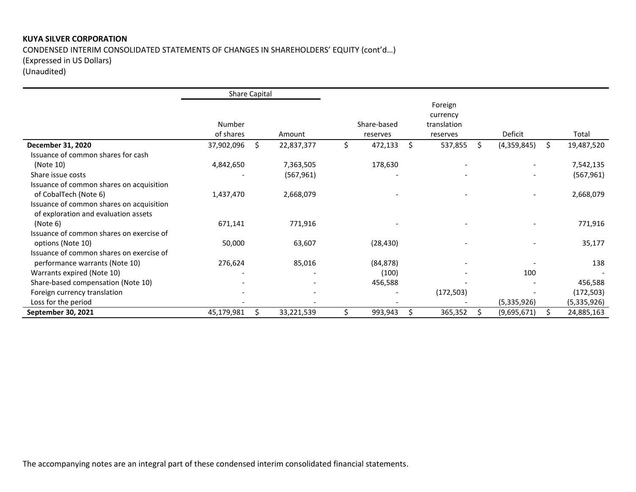# **KUYA SILVER CORPORATION**  CONDENSED INTERIM CONSOLIDATED STATEMENTS OF CHANGES IN SHAREHOLDERS' EQUITY (cont'd…) (Expressed in US Dollars) (Unaudited)

|                                          | Share Capital       |    |            |                         |    |                                                |    |                          |    |             |
|------------------------------------------|---------------------|----|------------|-------------------------|----|------------------------------------------------|----|--------------------------|----|-------------|
|                                          | Number<br>of shares |    | Amount     | Share-based<br>reserves |    | Foreign<br>currency<br>translation<br>reserves |    | Deficit                  |    | Total       |
| December 31, 2020                        | 37,902,096          | Ŝ. | 22,837,377 | \$<br>472,133           | Ŝ. | 537,855                                        | S. | (4,359,845)              | S. | 19,487,520  |
| Issuance of common shares for cash       |                     |    |            |                         |    |                                                |    |                          |    |             |
| (Note 10)                                | 4,842,650           |    | 7,363,505  | 178,630                 |    |                                                |    |                          |    | 7,542,135   |
| Share issue costs                        |                     |    | (567, 961) |                         |    |                                                |    | $\overline{\phantom{0}}$ |    | (567, 961)  |
| Issuance of common shares on acquisition |                     |    |            |                         |    |                                                |    |                          |    |             |
| of CobalTech (Note 6)                    | 1,437,470           |    | 2,668,079  |                         |    |                                                |    | $\overline{\phantom{m}}$ |    | 2,668,079   |
| Issuance of common shares on acquisition |                     |    |            |                         |    |                                                |    |                          |    |             |
| of exploration and evaluation assets     |                     |    |            |                         |    |                                                |    |                          |    |             |
| (Note 6)                                 | 671,141             |    | 771,916    |                         |    |                                                |    |                          |    | 771,916     |
| Issuance of common shares on exercise of |                     |    |            |                         |    |                                                |    |                          |    |             |
| options (Note 10)                        | 50,000              |    | 63,607     | (28, 430)               |    |                                                |    |                          |    | 35,177      |
| Issuance of common shares on exercise of |                     |    |            |                         |    |                                                |    |                          |    |             |
| performance warrants (Note 10)           | 276,624             |    | 85,016     | (84, 878)               |    |                                                |    |                          |    | 138         |
| Warrants expired (Note 10)               |                     |    |            | (100)                   |    |                                                |    | 100                      |    |             |
| Share-based compensation (Note 10)       |                     |    |            | 456,588                 |    |                                                |    |                          |    | 456,588     |
| Foreign currency translation             |                     |    |            |                         |    | (172, 503)                                     |    |                          |    | (172, 503)  |
| Loss for the period                      |                     |    |            |                         |    |                                                |    | (5,335,926)              |    | (5,335,926) |
| September 30, 2021                       | 45,179,981          |    | 33,221,539 | 993,943                 | Ś  | 365,352                                        |    | (9,695,671)              |    | 24,885,163  |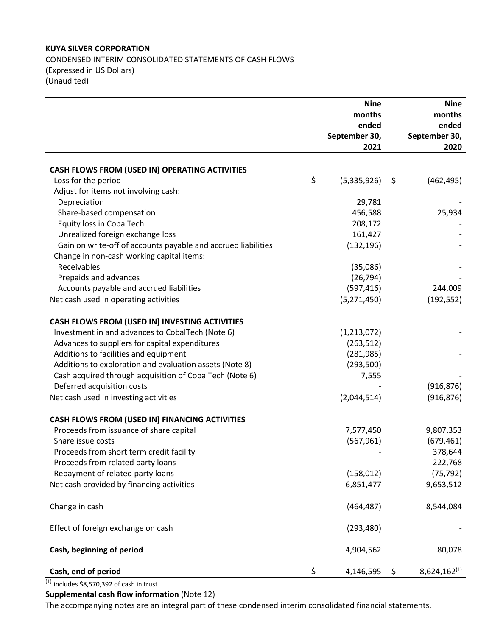### **KUYA SILVER CORPORATION**

CONDENSED INTERIM CONSOLIDATED STATEMENTS OF CASH FLOWS (Expressed in US Dollars) (Unaudited)

|                                                               | <b>Nine</b>       | <b>Nine</b>             |
|---------------------------------------------------------------|-------------------|-------------------------|
|                                                               | months            | months                  |
|                                                               | ended             | ended                   |
|                                                               | September 30,     | September 30,           |
|                                                               | 2021              | 2020                    |
|                                                               |                   |                         |
| CASH FLOWS FROM (USED IN) OPERATING ACTIVITIES                |                   |                         |
| Loss for the period                                           | \$<br>(5,335,926) | \$<br>(462, 495)        |
| Adjust for items not involving cash:                          |                   |                         |
| Depreciation                                                  | 29,781            |                         |
| Share-based compensation                                      | 456,588           | 25,934                  |
| Equity loss in CobalTech                                      | 208,172           |                         |
| Unrealized foreign exchange loss                              | 161,427           |                         |
| Gain on write-off of accounts payable and accrued liabilities | (132, 196)        |                         |
| Change in non-cash working capital items:                     |                   |                         |
| Receivables                                                   | (35,086)          |                         |
| Prepaids and advances                                         | (26, 794)         |                         |
| Accounts payable and accrued liabilities                      | (597, 416)        | 244,009                 |
| Net cash used in operating activities                         | (5, 271, 450)     | (192, 552)              |
|                                                               |                   |                         |
| CASH FLOWS FROM (USED IN) INVESTING ACTIVITIES                |                   |                         |
| Investment in and advances to CobalTech (Note 6)              | (1,213,072)       |                         |
| Advances to suppliers for capital expenditures                | (263, 512)        |                         |
| Additions to facilities and equipment                         | (281, 985)        |                         |
| Additions to exploration and evaluation assets (Note 8)       | (293, 500)        |                         |
| Cash acquired through acquisition of CobalTech (Note 6)       | 7,555             |                         |
| Deferred acquisition costs                                    |                   | (916, 876)              |
| Net cash used in investing activities                         | (2,044,514)       | (916, 876)              |
|                                                               |                   |                         |
| CASH FLOWS FROM (USED IN) FINANCING ACTIVITIES                |                   |                         |
| Proceeds from issuance of share capital                       | 7,577,450         | 9,807,353               |
| Share issue costs                                             | (567, 961)        | (679, 461)              |
| Proceeds from short term credit facility                      |                   | 378,644                 |
| Proceeds from related party loans                             |                   | 222,768                 |
| Repayment of related party loans                              | (158, 012)        | (75, 792)               |
| Net cash provided by financing activities                     | 6,851,477         | 9,653,512               |
|                                                               |                   |                         |
| Change in cash                                                | (464, 487)        | 8,544,084               |
|                                                               |                   |                         |
| Effect of foreign exchange on cash                            | (293, 480)        |                         |
|                                                               |                   |                         |
| Cash, beginning of period                                     | 4,904,562         | 80,078                  |
|                                                               |                   |                         |
| Cash, end of period                                           | \$<br>4,146,595   | \$<br>$8,624,162^{(1)}$ |

 $(1)$  includes \$8,570,392 of cash in trust

**Supplemental cash flow information** (Note 12)

The accompanying notes are an integral part of these condensed interim consolidated financial statements.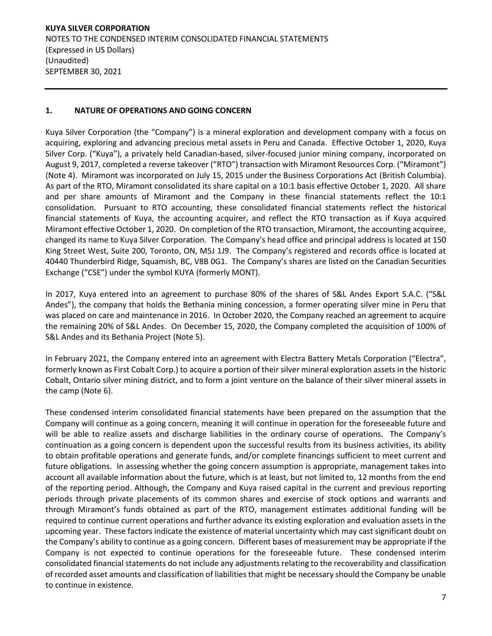# **1. NATURE OF OPERATIONS AND GOING CONCERN**

Kuya Silver Corporation (the "Company") is a mineral exploration and development company with a focus on acquiring, exploring and advancing precious metal assets in Peru and Canada. Effective October 1, 2020, Kuya Silver Corp. ("Kuya"), a privately held Canadian-based, silver-focused junior mining company, incorporated on August 9, 2017, completed a reverse takeover ("RTO") transaction with Miramont Resources Corp. ("Miramont") (Note 4). Miramont was incorporated on July 15, 2015 under the Business Corporations Act (British Columbia). As part of the RTO, Miramont consolidated its share capital on a 10:1 basis effective October 1, 2020. All share and per share amounts of Miramont and the Company in these financial statements reflect the 10:1 consolidation. Pursuant to RTO accounting, these consolidated financial statements reflect the historical financial statements of Kuya, the accounting acquirer, and reflect the RTO transaction as if Kuya acquired Miramont effective October 1, 2020. On completion of the RTO transaction, Miramont, the accounting acquiree, changed its name to Kuya Silver Corporation. The Company's head office and principal address is located at 150 King Street West, Suite 200, Toronto, ON, M5J 1J9. The Company's registered and records office is located at 40440 Thunderbird Ridge, Squamish, BC, V8B 0G1. The Company's shares are listed on the Canadian Securities Exchange ("CSE") under the symbol KUYA (formerly MONT).

In 2017, Kuya entered into an agreement to purchase 80% of the shares of S&L Andes Export S.A.C. ("S&L Andes"), the company that holds the Bethania mining concession, a former operating silver mine in Peru that was placed on care and maintenance in 2016. In October 2020, the Company reached an agreement to acquire the remaining 20% of S&L Andes. On December 15, 2020, the Company completed the acquisition of 100% of S&L Andes and its Bethania Project (Note 5).

In February 2021, the Company entered into an agreement with Electra Battery Metals Corporation ("Electra", formerly known as First Cobalt Corp.) to acquire a portion of their silver mineral exploration assets in the historic Cobalt, Ontario silver mining district, and to form a joint venture on the balance of their silver mineral assets in the camp (Note 6).

These condensed interim consolidated financial statements have been prepared on the assumption that the Company will continue as a going concern, meaning it will continue in operation for the foreseeable future and will be able to realize assets and discharge liabilities in the ordinary course of operations. The Company's continuation as a going concern is dependent upon the successful results from its business activities, its ability to obtain profitable operations and generate funds, and/or complete financings sufficient to meet current and future obligations. In assessing whether the going concern assumption is appropriate, management takes into account all available information about the future, which is at least, but not limited to, 12 months from the end of the reporting period. Although, the Company and Kuya raised capital in the current and previous reporting periods through private placements of its common shares and exercise of stock options and warrants and through Miramont's funds obtained as part of the RTO, management estimates additional funding will be required to continue current operations and further advance its existing exploration and evaluation assets in the upcoming year. These factors indicate the existence of material uncertainty which may cast significant doubt on the Company's ability to continue as a going concern. Different bases of measurement may be appropriate if the Company is not expected to continue operations for the foreseeable future. These condensed interim consolidated financial statements do not include any adjustments relating to the recoverability and classification of recorded asset amounts and classification of liabilities that might be necessary should the Company be unable to continue in existence.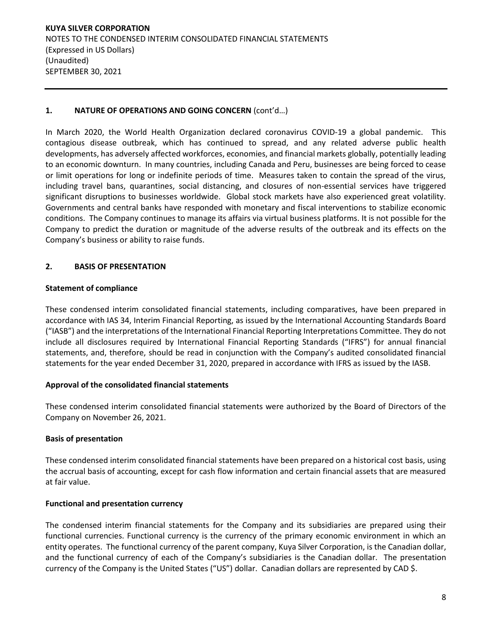# **1. NATURE OF OPERATIONS AND GOING CONCERN** (cont'd…)

In March 2020, the World Health Organization declared coronavirus COVID-19 a global pandemic. This contagious disease outbreak, which has continued to spread, and any related adverse public health developments, has adversely affected workforces, economies, and financial markets globally, potentially leading to an economic downturn. In many countries, including Canada and Peru, businesses are being forced to cease or limit operations for long or indefinite periods of time. Measures taken to contain the spread of the virus, including travel bans, quarantines, social distancing, and closures of non-essential services have triggered significant disruptions to businesses worldwide. Global stock markets have also experienced great volatility. Governments and central banks have responded with monetary and fiscal interventions to stabilize economic conditions. The Company continues to manage its affairs via virtual business platforms. It is not possible for the Company to predict the duration or magnitude of the adverse results of the outbreak and its effects on the Company's business or ability to raise funds.

### **2. BASIS OF PRESENTATION**

### **Statement of compliance**

These condensed interim consolidated financial statements, including comparatives, have been prepared in accordance with IAS 34, Interim Financial Reporting, as issued by the International Accounting Standards Board ("IASB") and the interpretations of the International Financial Reporting Interpretations Committee. They do not include all disclosures required by International Financial Reporting Standards ("IFRS") for annual financial statements, and, therefore, should be read in conjunction with the Company's audited consolidated financial statements for the year ended December 31, 2020, prepared in accordance with IFRS as issued by the IASB.

### **Approval of the consolidated financial statements**

These condensed interim consolidated financial statements were authorized by the Board of Directors of the Company on November 26, 2021.

### **Basis of presentation**

These condensed interim consolidated financial statements have been prepared on a historical cost basis, using the accrual basis of accounting, except for cash flow information and certain financial assets that are measured at fair value.

### **Functional and presentation currency**

The condensed interim financial statements for the Company and its subsidiaries are prepared using their functional currencies. Functional currency is the currency of the primary economic environment in which an entity operates. The functional currency of the parent company, Kuya Silver Corporation, is the Canadian dollar, and the functional currency of each of the Company's subsidiaries is the Canadian dollar. The presentation currency of the Company is the United States ("US") dollar. Canadian dollars are represented by CAD \$.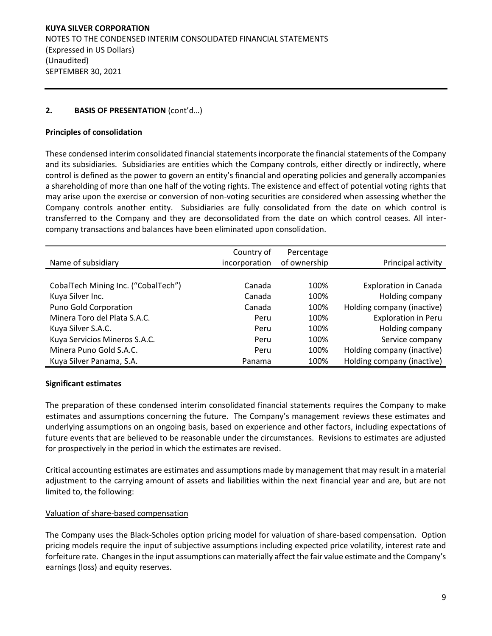# **2. BASIS OF PRESENTATION** (cont'd…)

# **Principles of consolidation**

These condensed interim consolidated financial statements incorporate the financial statements of the Company and its subsidiaries. Subsidiaries are entities which the Company controls, either directly or indirectly, where control is defined as the power to govern an entity's financial and operating policies and generally accompanies a shareholding of more than one half of the voting rights. The existence and effect of potential voting rights that may arise upon the exercise or conversion of non-voting securities are considered when assessing whether the Company controls another entity. Subsidiaries are fully consolidated from the date on which control is transferred to the Company and they are deconsolidated from the date on which control ceases. All intercompany transactions and balances have been eliminated upon consolidation.

|                                     | Country of    | Percentage   |                              |
|-------------------------------------|---------------|--------------|------------------------------|
| Name of subsidiary                  | incorporation | of ownership | Principal activity           |
|                                     |               |              |                              |
| CobalTech Mining Inc. ("CobalTech") | Canada        | 100%         | <b>Exploration in Canada</b> |
| Kuya Silver Inc.                    | Canada        | 100%         | Holding company              |
| Puno Gold Corporation               | Canada        | 100%         | Holding company (inactive)   |
| Minera Toro del Plata S.A.C.        | Peru          | 100%         | <b>Exploration in Peru</b>   |
| Kuya Silver S.A.C.                  | Peru          | 100%         | Holding company              |
| Kuya Servicios Mineros S.A.C.       | Peru          | 100%         | Service company              |
| Minera Puno Gold S.A.C.             | Peru          | 100%         | Holding company (inactive)   |
| Kuya Silver Panama, S.A.            | Panama        | 100%         | Holding company (inactive)   |

# **Significant estimates**

The preparation of these condensed interim consolidated financial statements requires the Company to make estimates and assumptions concerning the future. The Company's management reviews these estimates and underlying assumptions on an ongoing basis, based on experience and other factors, including expectations of future events that are believed to be reasonable under the circumstances. Revisions to estimates are adjusted for prospectively in the period in which the estimates are revised.

Critical accounting estimates are estimates and assumptions made by management that may result in a material adjustment to the carrying amount of assets and liabilities within the next financial year and are, but are not limited to, the following:

### Valuation of share-based compensation

The Company uses the Black-Scholes option pricing model for valuation of share-based compensation. Option pricing models require the input of subjective assumptions including expected price volatility, interest rate and forfeiture rate. Changes in the input assumptions can materially affect the fair value estimate and the Company's earnings (loss) and equity reserves.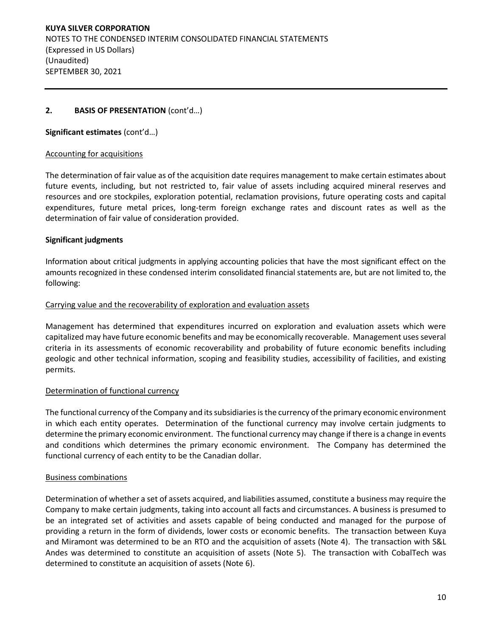# **2. BASIS OF PRESENTATION** (cont'd…)

**Significant estimates** (cont'd…)

#### Accounting for acquisitions

The determination of fair value as of the acquisition date requires management to make certain estimates about future events, including, but not restricted to, fair value of assets including acquired mineral reserves and resources and ore stockpiles, exploration potential, reclamation provisions, future operating costs and capital expenditures, future metal prices, long-term foreign exchange rates and discount rates as well as the determination of fair value of consideration provided.

### **Significant judgments**

Information about critical judgments in applying accounting policies that have the most significant effect on the amounts recognized in these condensed interim consolidated financial statements are, but are not limited to, the following:

#### Carrying value and the recoverability of exploration and evaluation assets

Management has determined that expenditures incurred on exploration and evaluation assets which were capitalized may have future economic benefits and may be economically recoverable. Management uses several criteria in its assessments of economic recoverability and probability of future economic benefits including geologic and other technical information, scoping and feasibility studies, accessibility of facilities, and existing permits.

### Determination of functional currency

The functional currency of the Company and its subsidiaries is the currency of the primary economic environment in which each entity operates. Determination of the functional currency may involve certain judgments to determine the primary economic environment. The functional currency may change if there is a change in events and conditions which determines the primary economic environment. The Company has determined the functional currency of each entity to be the Canadian dollar.

#### Business combinations

Determination of whether a set of assets acquired, and liabilities assumed, constitute a business may require the Company to make certain judgments, taking into account all facts and circumstances. A business is presumed to be an integrated set of activities and assets capable of being conducted and managed for the purpose of providing a return in the form of dividends, lower costs or economic benefits. The transaction between Kuya and Miramont was determined to be an RTO and the acquisition of assets (Note 4). The transaction with S&L Andes was determined to constitute an acquisition of assets (Note 5). The transaction with CobalTech was determined to constitute an acquisition of assets (Note 6).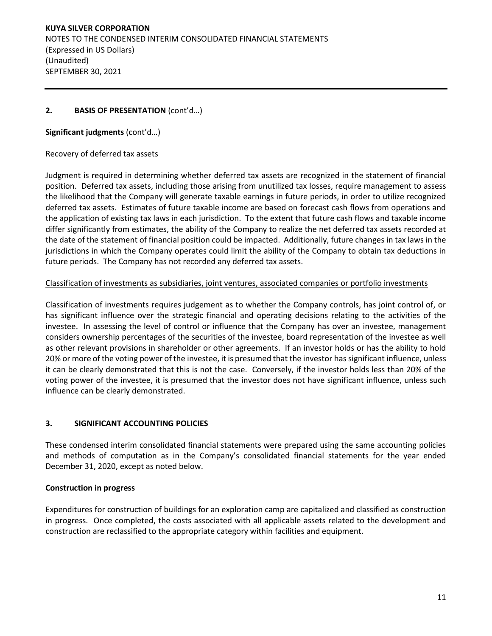# **2. BASIS OF PRESENTATION** (cont'd…)

**Significant judgments** (cont'd…)

### Recovery of deferred tax assets

Judgment is required in determining whether deferred tax assets are recognized in the statement of financial position. Deferred tax assets, including those arising from unutilized tax losses, require management to assess the likelihood that the Company will generate taxable earnings in future periods, in order to utilize recognized deferred tax assets. Estimates of future taxable income are based on forecast cash flows from operations and the application of existing tax laws in each jurisdiction. To the extent that future cash flows and taxable income differ significantly from estimates, the ability of the Company to realize the net deferred tax assets recorded at the date of the statement of financial position could be impacted. Additionally, future changes in tax laws in the jurisdictions in which the Company operates could limit the ability of the Company to obtain tax deductions in future periods. The Company has not recorded any deferred tax assets.

#### Classification of investments as subsidiaries, joint ventures, associated companies or portfolio investments

Classification of investments requires judgement as to whether the Company controls, has joint control of, or has significant influence over the strategic financial and operating decisions relating to the activities of the investee. In assessing the level of control or influence that the Company has over an investee, management considers ownership percentages of the securities of the investee, board representation of the investee as well as other relevant provisions in shareholder or other agreements. If an investor holds or has the ability to hold 20% or more of the voting power of the investee, it is presumed that the investor has significant influence, unless it can be clearly demonstrated that this is not the case. Conversely, if the investor holds less than 20% of the voting power of the investee, it is presumed that the investor does not have significant influence, unless such influence can be clearly demonstrated.

### **3. SIGNIFICANT ACCOUNTING POLICIES**

These condensed interim consolidated financial statements were prepared using the same accounting policies and methods of computation as in the Company's consolidated financial statements for the year ended December 31, 2020, except as noted below.

### **Construction in progress**

Expenditures for construction of buildings for an exploration camp are capitalized and classified as construction in progress. Once completed, the costs associated with all applicable assets related to the development and construction are reclassified to the appropriate category within facilities and equipment.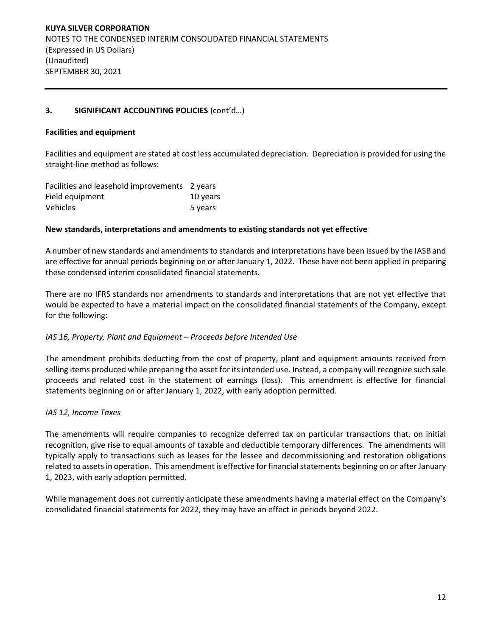# **3. SIGNIFICANT ACCOUNTING POLICIES** (cont'd…)

### **Facilities and equipment**

Facilities and equipment are stated at cost less accumulated depreciation. Depreciation is provided for using the straight-line method as follows:

| Facilities and leasehold improvements 2 years |          |
|-----------------------------------------------|----------|
| Field equipment                               | 10 years |
| <b>Vehicles</b>                               | 5 years  |

#### **New standards, interpretations and amendments to existing standards not yet effective**

A number of new standards and amendments to standards and interpretations have been issued by the IASB and are effective for annual periods beginning on or after January 1, 2022. These have not been applied in preparing these condensed interim consolidated financial statements.

There are no IFRS standards nor amendments to standards and interpretations that are not yet effective that would be expected to have a material impact on the consolidated financial statements of the Company, except for the following:

#### *IAS 16, Property, Plant and Equipment – Proceeds before Intended Use*

The amendment prohibits deducting from the cost of property, plant and equipment amounts received from selling items produced while preparing the asset for its intended use. Instead, a company will recognize such sale proceeds and related cost in the statement of earnings (loss). This amendment is effective for financial statements beginning on or after January 1, 2022, with early adoption permitted.

#### *IAS 12, Income Taxes*

The amendments will require companies to recognize deferred tax on particular transactions that, on initial recognition, give rise to equal amounts of taxable and deductible temporary differences. The amendments will typically apply to transactions such as leases for the lessee and decommissioning and restoration obligations related to assets in operation. This amendment is effective for financial statements beginning on or after January 1, 2023, with early adoption permitted.

While management does not currently anticipate these amendments having a material effect on the Company's consolidated financial statements for 2022, they may have an effect in periods beyond 2022.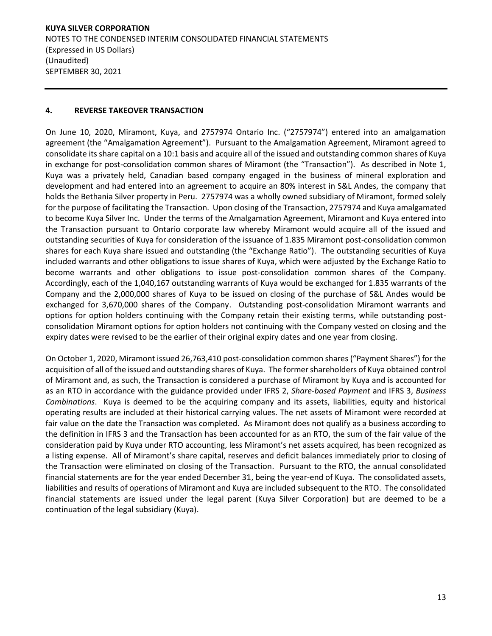### **4. REVERSE TAKEOVER TRANSACTION**

On June 10, 2020, Miramont, Kuya, and 2757974 Ontario Inc. ("2757974") entered into an amalgamation agreement (the "Amalgamation Agreement"). Pursuant to the Amalgamation Agreement, Miramont agreed to consolidate its share capital on a 10:1 basis and acquire all of the issued and outstanding common shares of Kuya in exchange for post-consolidation common shares of Miramont (the "Transaction"). As described in Note 1, Kuya was a privately held, Canadian based company engaged in the business of mineral exploration and development and had entered into an agreement to acquire an 80% interest in S&L Andes, the company that holds the Bethania Silver property in Peru. 2757974 was a wholly owned subsidiary of Miramont, formed solely for the purpose of facilitating the Transaction. Upon closing of the Transaction, 2757974 and Kuya amalgamated to become Kuya Silver Inc. Under the terms of the Amalgamation Agreement, Miramont and Kuya entered into the Transaction pursuant to Ontario corporate law whereby Miramont would acquire all of the issued and outstanding securities of Kuya for consideration of the issuance of 1.835 Miramont post-consolidation common shares for each Kuya share issued and outstanding (the "Exchange Ratio"). The outstanding securities of Kuya included warrants and other obligations to issue shares of Kuya, which were adjusted by the Exchange Ratio to become warrants and other obligations to issue post-consolidation common shares of the Company. Accordingly, each of the 1,040,167 outstanding warrants of Kuya would be exchanged for 1.835 warrants of the Company and the 2,000,000 shares of Kuya to be issued on closing of the purchase of S&L Andes would be exchanged for 3,670,000 shares of the Company. Outstanding post-consolidation Miramont warrants and options for option holders continuing with the Company retain their existing terms, while outstanding postconsolidation Miramont options for option holders not continuing with the Company vested on closing and the expiry dates were revised to be the earlier of their original expiry dates and one year from closing.

On October 1, 2020, Miramont issued 26,763,410 post-consolidation common shares ("Payment Shares") for the acquisition of all of the issued and outstanding shares of Kuya. The former shareholders of Kuya obtained control of Miramont and, as such, the Transaction is considered a purchase of Miramont by Kuya and is accounted for as an RTO in accordance with the guidance provided under IFRS 2, *Share-based Payment* and IFRS 3, *Business Combinations*. Kuya is deemed to be the acquiring company and its assets, liabilities, equity and historical operating results are included at their historical carrying values. The net assets of Miramont were recorded at fair value on the date the Transaction was completed. As Miramont does not qualify as a business according to the definition in IFRS 3 and the Transaction has been accounted for as an RTO, the sum of the fair value of the consideration paid by Kuya under RTO accounting, less Miramont's net assets acquired, has been recognized as a listing expense. All of Miramont's share capital, reserves and deficit balances immediately prior to closing of the Transaction were eliminated on closing of the Transaction. Pursuant to the RTO, the annual consolidated financial statements are for the year ended December 31, being the year-end of Kuya. The consolidated assets, liabilities and results of operations of Miramont and Kuya are included subsequent to the RTO. The consolidated financial statements are issued under the legal parent (Kuya Silver Corporation) but are deemed to be a continuation of the legal subsidiary (Kuya).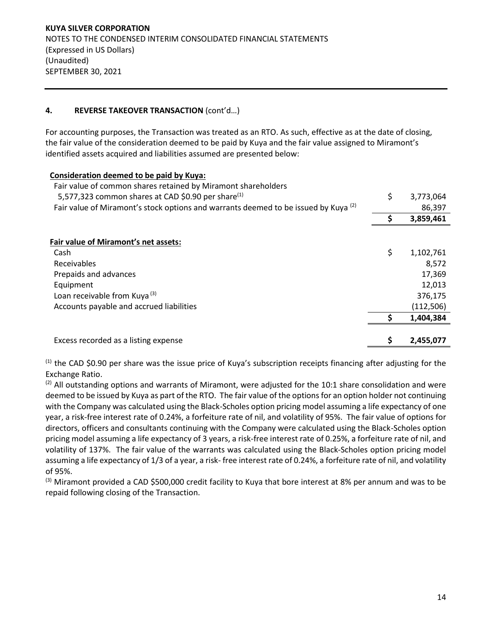# **4. REVERSE TAKEOVER TRANSACTION** (cont'd…)

For accounting purposes, the Transaction was treated as an RTO. As such, effective as at the date of closing, the fair value of the consideration deemed to be paid by Kuya and the fair value assigned to Miramont's identified assets acquired and liabilities assumed are presented below:

| Consideration deemed to be paid by Kuya:                                                       |                 |
|------------------------------------------------------------------------------------------------|-----------------|
| Fair value of common shares retained by Miramont shareholders                                  |                 |
| 5,577,323 common shares at CAD \$0.90 per share <sup>(1)</sup>                                 | \$<br>3,773,064 |
| Fair value of Miramont's stock options and warrants deemed to be issued by Kuya <sup>(2)</sup> | 86,397          |
|                                                                                                | \$<br>3,859,461 |
|                                                                                                |                 |
| Fair value of Miramont's net assets:                                                           |                 |
| Cash                                                                                           | \$<br>1,102,761 |
| Receivables                                                                                    | 8,572           |
| Prepaids and advances                                                                          | 17,369          |
| Equipment                                                                                      | 12,013          |
| Loan receivable from Kuya <sup>(3)</sup>                                                       | 376,175         |
| Accounts payable and accrued liabilities                                                       | (112, 506)      |
|                                                                                                | 1,404,384       |
| Excess recorded as a listing expense                                                           | 2,455,077       |

 $<sup>(1)</sup>$  the CAD \$0.90 per share was the issue price of Kuya's subscription receipts financing after adjusting for the</sup> Exchange Ratio.

<sup>(2)</sup> All outstanding options and warrants of Miramont, were adjusted for the 10:1 share consolidation and were deemed to be issued by Kuya as part of the RTO. The fair value of the options for an option holder not continuing with the Company was calculated using the Black-Scholes option pricing model assuming a life expectancy of one year, a risk-free interest rate of 0.24%, a forfeiture rate of nil, and volatility of 95%. The fair value of options for directors, officers and consultants continuing with the Company were calculated using the Black-Scholes option pricing model assuming a life expectancy of 3 years, a risk-free interest rate of 0.25%, a forfeiture rate of nil, and volatility of 137%. The fair value of the warrants was calculated using the Black-Scholes option pricing model assuming a life expectancy of 1/3 of a year, a risk- free interest rate of 0.24%, a forfeiture rate of nil, and volatility of 95%.

 $(3)$  Miramont provided a CAD \$500,000 credit facility to Kuya that bore interest at 8% per annum and was to be repaid following closing of the Transaction.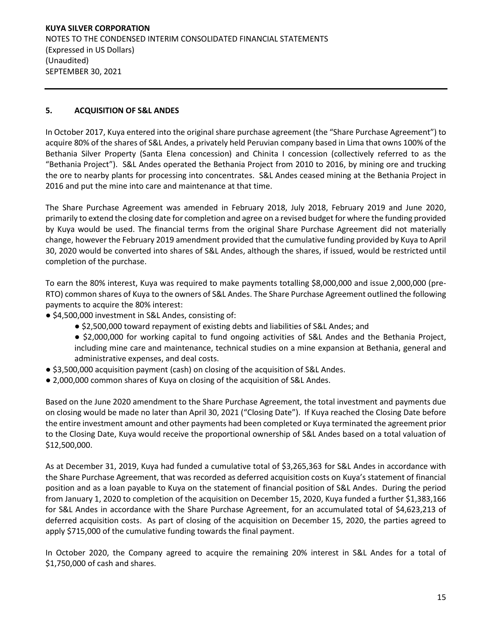# **5. ACQUISITION OF S&L ANDES**

In October 2017, Kuya entered into the original share purchase agreement (the "Share Purchase Agreement") to acquire 80% of the shares of S&L Andes, a privately held Peruvian company based in Lima that owns 100% of the Bethania Silver Property (Santa Elena concession) and Chinita I concession (collectively referred to as the "Bethania Project"). S&L Andes operated the Bethania Project from 2010 to 2016, by mining ore and trucking the ore to nearby plants for processing into concentrates. S&L Andes ceased mining at the Bethania Project in 2016 and put the mine into care and maintenance at that time.

The Share Purchase Agreement was amended in February 2018, July 2018, February 2019 and June 2020, primarily to extend the closing date for completion and agree on a revised budget for where the funding provided by Kuya would be used. The financial terms from the original Share Purchase Agreement did not materially change, however the February 2019 amendment provided that the cumulative funding provided by Kuya to April 30, 2020 would be converted into shares of S&L Andes, although the shares, if issued, would be restricted until completion of the purchase.

To earn the 80% interest, Kuya was required to make payments totalling \$8,000,000 and issue 2,000,000 (pre-RTO) common shares of Kuya to the owners of S&L Andes. The Share Purchase Agreement outlined the following payments to acquire the 80% interest:

- \$4,500,000 investment in S&L Andes, consisting of:
	- \$2,500,000 toward repayment of existing debts and liabilities of S&L Andes; and
	- \$2,000,000 for working capital to fund ongoing activities of S&L Andes and the Bethania Project, including mine care and maintenance, technical studies on a mine expansion at Bethania, general and administrative expenses, and deal costs.
- \$3,500,000 acquisition payment (cash) on closing of the acquisition of S&L Andes.
- 2,000,000 common shares of Kuya on closing of the acquisition of S&L Andes.

Based on the June 2020 amendment to the Share Purchase Agreement, the total investment and payments due on closing would be made no later than April 30, 2021 ("Closing Date"). If Kuya reached the Closing Date before the entire investment amount and other payments had been completed or Kuya terminated the agreement prior to the Closing Date, Kuya would receive the proportional ownership of S&L Andes based on a total valuation of \$12,500,000.

As at December 31, 2019, Kuya had funded a cumulative total of \$3,265,363 for S&L Andes in accordance with the Share Purchase Agreement, that was recorded as deferred acquisition costs on Kuya's statement of financial position and as a loan payable to Kuya on the statement of financial position of S&L Andes. During the period from January 1, 2020 to completion of the acquisition on December 15, 2020, Kuya funded a further \$1,383,166 for S&L Andes in accordance with the Share Purchase Agreement, for an accumulated total of \$4,623,213 of deferred acquisition costs. As part of closing of the acquisition on December 15, 2020, the parties agreed to apply \$715,000 of the cumulative funding towards the final payment.

In October 2020, the Company agreed to acquire the remaining 20% interest in S&L Andes for a total of \$1,750,000 of cash and shares.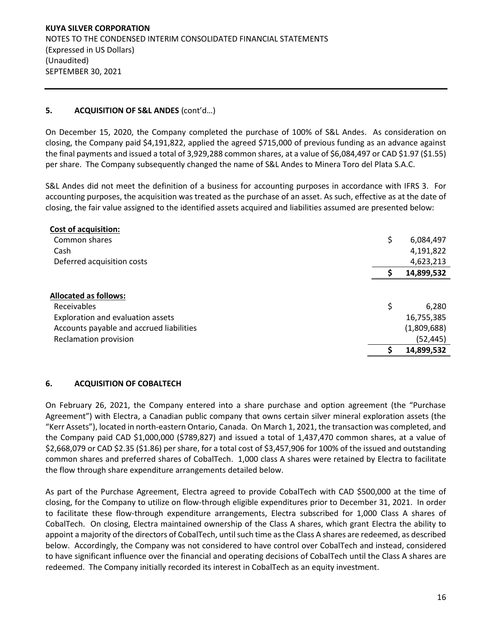# **5. ACQUISITION OF S&L ANDES** (cont'd…)

On December 15, 2020, the Company completed the purchase of 100% of S&L Andes. As consideration on closing, the Company paid \$4,191,822, applied the agreed \$715,000 of previous funding as an advance against the final payments and issued a total of 3,929,288 common shares, at a value of \$6,084,497 or CAD \$1.97 (\$1.55) per share. The Company subsequently changed the name of S&L Andes to Minera Toro del Plata S.A.C.

S&L Andes did not meet the definition of a business for accounting purposes in accordance with IFRS 3. For accounting purposes, the acquisition was treated as the purchase of an asset. As such, effective as at the date of closing, the fair value assigned to the identified assets acquired and liabilities assumed are presented below:

| <b>Cost of acquisition:</b>              |                 |
|------------------------------------------|-----------------|
| Common shares                            | \$<br>6,084,497 |
| Cash                                     | 4,191,822       |
| Deferred acquisition costs               | 4,623,213       |
|                                          | 14,899,532      |
|                                          |                 |
| <b>Allocated as follows:</b>             |                 |
| Receivables                              | \$<br>6,280     |
| Exploration and evaluation assets        | 16,755,385      |
| Accounts payable and accrued liabilities | (1,809,688)     |
| Reclamation provision                    | (52, 445)       |
|                                          | 14,899,532      |

### **6. ACQUISITION OF COBALTECH**

On February 26, 2021, the Company entered into a share purchase and option agreement (the "Purchase Agreement") with Electra, a Canadian public company that owns certain silver mineral exploration assets (the "Kerr Assets"), located in north-eastern Ontario, Canada. On March 1, 2021, the transaction was completed, and the Company paid CAD \$1,000,000 (\$789,827) and issued a total of 1,437,470 common shares, at a value of \$2,668,079 or CAD \$2.35 (\$1.86) per share, for a total cost of \$3,457,906 for 100% of the issued and outstanding common shares and preferred shares of CobalTech. 1,000 class A shares were retained by Electra to facilitate the flow through share expenditure arrangements detailed below.

As part of the Purchase Agreement, Electra agreed to provide CobalTech with CAD \$500,000 at the time of closing, for the Company to utilize on flow-through eligible expenditures prior to December 31, 2021. In order to facilitate these flow-through expenditure arrangements, Electra subscribed for 1,000 Class A shares of CobalTech. On closing, Electra maintained ownership of the Class A shares, which grant Electra the ability to appoint a majority of the directors of CobalTech, until such time as the Class A shares are redeemed, as described below. Accordingly, the Company was not considered to have control over CobalTech and instead, considered to have significant influence over the financial and operating decisions of CobalTech until the Class A shares are redeemed. The Company initially recorded its interest in CobalTech as an equity investment.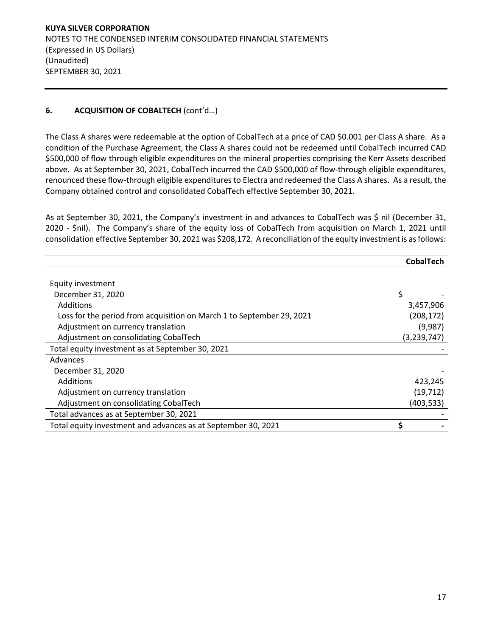# **6. ACQUISITION OF COBALTECH** (cont'd…)

The Class A shares were redeemable at the option of CobalTech at a price of CAD \$0.001 per Class A share. As a condition of the Purchase Agreement, the Class A shares could not be redeemed until CobalTech incurred CAD \$500,000 of flow through eligible expenditures on the mineral properties comprising the Kerr Assets described above. As at September 30, 2021, CobalTech incurred the CAD \$500,000 of flow-through eligible expenditures, renounced these flow-through eligible expenditures to Electra and redeemed the Class A shares. As a result, the Company obtained control and consolidated CobalTech effective September 30, 2021.

As at September 30, 2021, the Company's investment in and advances to CobalTech was \$ nil (December 31, 2020 - \$nil). The Company's share of the equity loss of CobalTech from acquisition on March 1, 2021 until consolidation effective September 30, 2021 was \$208,172. A reconciliation of the equity investment is as follows:

|                                                                       | <b>CobalTech</b> |
|-----------------------------------------------------------------------|------------------|
|                                                                       |                  |
| Equity investment                                                     |                  |
| December 31, 2020                                                     | \$               |
| Additions                                                             | 3,457,906        |
| Loss for the period from acquisition on March 1 to September 29, 2021 | (208, 172)       |
| Adjustment on currency translation                                    | (9,987)          |
| Adjustment on consolidating CobalTech                                 | (3, 239, 747)    |
| Total equity investment as at September 30, 2021                      |                  |
| Advances                                                              |                  |
| December 31, 2020                                                     |                  |
| Additions                                                             | 423,245          |
| Adjustment on currency translation                                    | (19, 712)        |
| Adjustment on consolidating CobalTech                                 | (403, 533)       |
| Total advances as at September 30, 2021                               |                  |
| Total equity investment and advances as at September 30, 2021         | Ś                |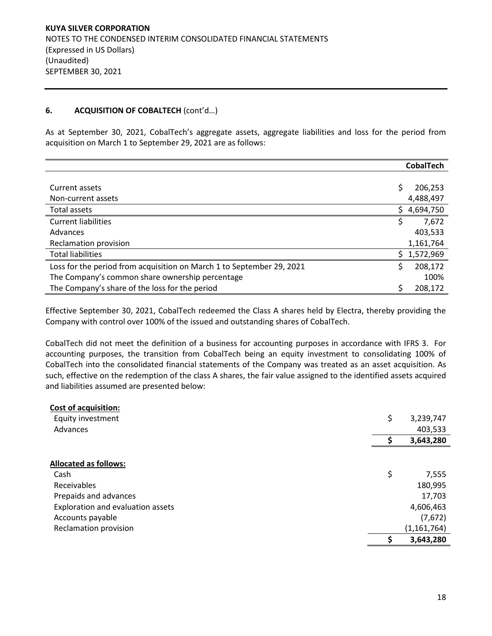### **6. ACQUISITION OF COBALTECH** (cont'd…)

As at September 30, 2021, CobalTech's aggregate assets, aggregate liabilities and loss for the period from acquisition on March 1 to September 29, 2021 are as follows:

|                                                                       |     | <b>CobalTech</b> |
|-----------------------------------------------------------------------|-----|------------------|
|                                                                       |     |                  |
| Current assets                                                        | \$  | 206,253          |
| Non-current assets                                                    |     | 4,488,497        |
| Total assets                                                          | S.  | 4,694,750        |
| <b>Current liabilities</b>                                            | \$  | 7,672            |
| Advances                                                              |     | 403.533          |
| Reclamation provision                                                 |     | 1,161,764        |
| <b>Total liabilities</b>                                              | S.  | 1,572,969        |
| Loss for the period from acquisition on March 1 to September 29, 2021 | \$. | 208,172          |
| The Company's common share ownership percentage                       |     | 100%             |
| The Company's share of the loss for the period                        | Ś   | 208.172          |

Effective September 30, 2021, CobalTech redeemed the Class A shares held by Electra, thereby providing the Company with control over 100% of the issued and outstanding shares of CobalTech.

CobalTech did not meet the definition of a business for accounting purposes in accordance with IFRS 3. For accounting purposes, the transition from CobalTech being an equity investment to consolidating 100% of CobalTech into the consolidated financial statements of the Company was treated as an asset acquisition. As such, effective on the redemption of the class A shares, the fair value assigned to the identified assets acquired and liabilities assumed are presented below:

| <b>Cost of acquisition:</b>       |    |               |
|-----------------------------------|----|---------------|
| Equity investment                 | \$ | 3,239,747     |
| Advances                          |    | 403,533       |
|                                   |    | 3,643,280     |
|                                   |    |               |
| <b>Allocated as follows:</b>      |    |               |
| Cash                              | \$ | 7,555         |
| Receivables                       |    | 180,995       |
| Prepaids and advances             |    | 17,703        |
| Exploration and evaluation assets |    | 4,606,463     |
| Accounts payable                  |    | (7,672)       |
| Reclamation provision             |    | (1, 161, 764) |
|                                   | Ś  | 3,643,280     |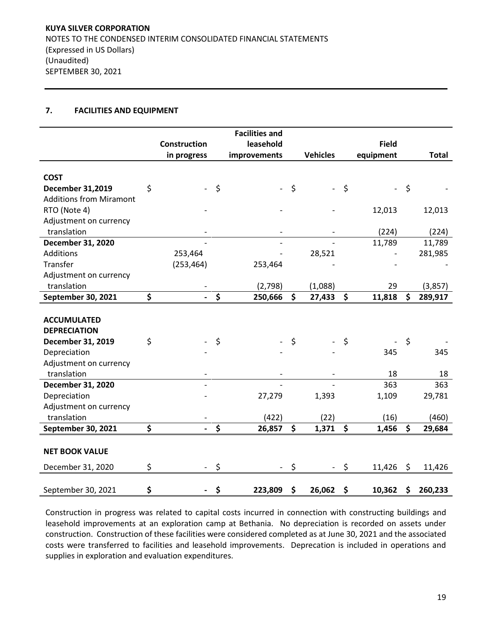### **7. FACILITIES AND EQUIPMENT**

|                                |                     |                      | <b>Facilities and</b> |                      |                          |         |              |               |
|--------------------------------|---------------------|----------------------|-----------------------|----------------------|--------------------------|---------|--------------|---------------|
|                                | <b>Construction</b> |                      | leasehold             |                      |                          |         | <b>Field</b> |               |
|                                | in progress         |                      | improvements          |                      | <b>Vehicles</b>          |         | equipment    | <b>Total</b>  |
|                                |                     |                      |                       |                      |                          |         |              |               |
| <b>COST</b>                    |                     |                      |                       |                      |                          |         |              |               |
| <b>December 31,2019</b>        | \$                  | \$                   |                       | \$                   | $\overline{\phantom{a}}$ | $\zeta$ |              | \$            |
| <b>Additions from Miramont</b> |                     |                      |                       |                      |                          |         |              |               |
| RTO (Note 4)                   |                     |                      |                       |                      |                          |         | 12,013       | 12,013        |
| Adjustment on currency         |                     |                      |                       |                      |                          |         |              |               |
| translation                    |                     |                      |                       |                      |                          |         | (224)        | (224)         |
| December 31, 2020              |                     |                      |                       |                      |                          |         | 11,789       | 11,789        |
| Additions                      | 253,464             |                      |                       |                      | 28,521                   |         |              | 281,985       |
| Transfer                       | (253, 464)          |                      | 253,464               |                      |                          |         |              |               |
| Adjustment on currency         |                     |                      |                       |                      |                          |         |              |               |
| translation                    |                     |                      | (2,798)               |                      | (1,088)                  |         | 29           | (3,857)       |
| September 30, 2021             | \$                  | $\boldsymbol{\zeta}$ | 250,666               | $\boldsymbol{\zeta}$ | 27,433                   | \$      | 11,818       | \$<br>289,917 |
|                                |                     |                      |                       |                      |                          |         |              |               |
| <b>ACCUMULATED</b>             |                     |                      |                       |                      |                          |         |              |               |
| <b>DEPRECIATION</b>            |                     |                      |                       |                      |                          |         |              |               |
| December 31, 2019              | \$                  | \$                   |                       | \$                   |                          | \$      |              | \$            |
| Depreciation                   |                     |                      |                       |                      |                          |         | 345          | 345           |
| Adjustment on currency         |                     |                      |                       |                      |                          |         |              |               |
| translation                    |                     |                      |                       |                      |                          |         | 18           | 18            |
| December 31, 2020              |                     |                      |                       |                      |                          |         | 363          | 363           |
| Depreciation                   |                     |                      | 27,279                |                      | 1,393                    |         | 1,109        | 29,781        |
| Adjustment on currency         |                     |                      |                       |                      |                          |         |              |               |
| translation                    |                     |                      | (422)                 |                      | (22)                     |         | (16)         | (460)         |
| September 30, 2021             | \$                  | \$                   | 26,857                | \$                   | 1,371                    | \$      | 1,456        | \$<br>29,684  |
|                                |                     |                      |                       |                      |                          |         |              |               |
| <b>NET BOOK VALUE</b>          |                     |                      |                       |                      |                          |         |              |               |
| December 31, 2020              | \$                  | \$                   |                       | \$                   |                          | \$      | 11,426       | \$<br>11,426  |
| September 30, 2021             | \$                  | \$                   | 223,809               | \$                   | 26,062                   | \$      | 10,362       | \$<br>260,233 |
|                                |                     |                      |                       |                      |                          |         |              |               |

Construction in progress was related to capital costs incurred in connection with constructing buildings and leasehold improvements at an exploration camp at Bethania. No depreciation is recorded on assets under construction. Construction of these facilities were considered completed as at June 30, 2021 and the associated costs were transferred to facilities and leasehold improvements. Deprecation is included in operations and supplies in exploration and evaluation expenditures.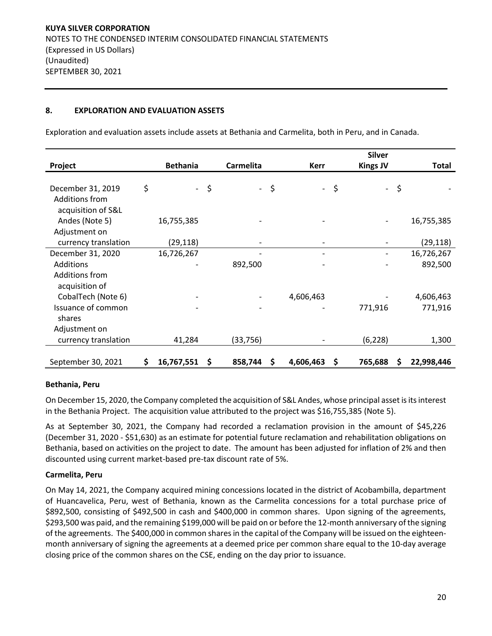### **8. EXPLORATION AND EVALUATION ASSETS**

Exploration and evaluation assets include assets at Bethania and Carmelita, both in Peru, and in Canada.

|                      |                  |        |                          |    |                     |    | <b>Silver</b>   |    |            |
|----------------------|------------------|--------|--------------------------|----|---------------------|----|-----------------|----|------------|
| Project              | <b>Bethania</b>  |        | Carmelita                |    | <b>Kerr</b>         |    | <b>Kings JV</b> |    | Total      |
|                      |                  |        |                          |    |                     |    |                 |    |            |
| December 31, 2019    | \$               | $-$ \$ | $\overline{\phantom{0}}$ | \$ | $\omega_{\rm{max}}$ | \$ | $\sim$          | \$ |            |
| Additions from       |                  |        |                          |    |                     |    |                 |    |            |
| acquisition of S&L   |                  |        |                          |    |                     |    |                 |    |            |
| Andes (Note 5)       | 16,755,385       |        |                          |    |                     |    |                 |    | 16,755,385 |
| Adjustment on        |                  |        |                          |    |                     |    |                 |    |            |
| currency translation | (29,118)         |        |                          |    |                     |    |                 |    | (29, 118)  |
| December 31, 2020    | 16,726,267       |        |                          |    |                     |    |                 |    | 16,726,267 |
| Additions            |                  |        | 892,500                  |    |                     |    |                 |    | 892,500    |
| Additions from       |                  |        |                          |    |                     |    |                 |    |            |
| acquisition of       |                  |        |                          |    |                     |    |                 |    |            |
| CobalTech (Note 6)   |                  |        |                          |    | 4,606,463           |    |                 |    | 4,606,463  |
| Issuance of common   |                  |        |                          |    |                     |    | 771,916         |    | 771,916    |
| shares               |                  |        |                          |    |                     |    |                 |    |            |
| Adjustment on        |                  |        |                          |    |                     |    |                 |    |            |
| currency translation | 41,284           |        | (33, 756)                |    |                     |    | (6, 228)        |    | 1,300      |
|                      |                  |        |                          |    |                     |    |                 |    |            |
| September 30, 2021   | \$<br>16,767,551 | \$     | 858,744                  | S  | 4,606,463           | S  | 765,688         | S  | 22,998,446 |

### **Bethania, Peru**

On December 15, 2020, the Company completed the acquisition of S&L Andes, whose principal asset is its interest in the Bethania Project. The acquisition value attributed to the project was \$16,755,385 (Note 5).

As at September 30, 2021, the Company had recorded a reclamation provision in the amount of \$45,226 (December 31, 2020 - \$51,630) as an estimate for potential future reclamation and rehabilitation obligations on Bethania, based on activities on the project to date. The amount has been adjusted for inflation of 2% and then discounted using current market-based pre-tax discount rate of 5%.

### **Carmelita, Peru**

On May 14, 2021, the Company acquired mining concessions located in the district of Acobambilla, department of Huancavelica, Peru, west of Bethania, known as the Carmelita concessions for a total purchase price of \$892,500, consisting of \$492,500 in cash and \$400,000 in common shares. Upon signing of the agreements, \$293,500 was paid, and the remaining \$199,000 will be paid on or before the 12-month anniversary of the signing of the agreements. The \$400,000 in common shares in the capital of the Company will be issued on the eighteenmonth anniversary of signing the agreements at a deemed price per common share equal to the 10-day average closing price of the common shares on the CSE, ending on the day prior to issuance.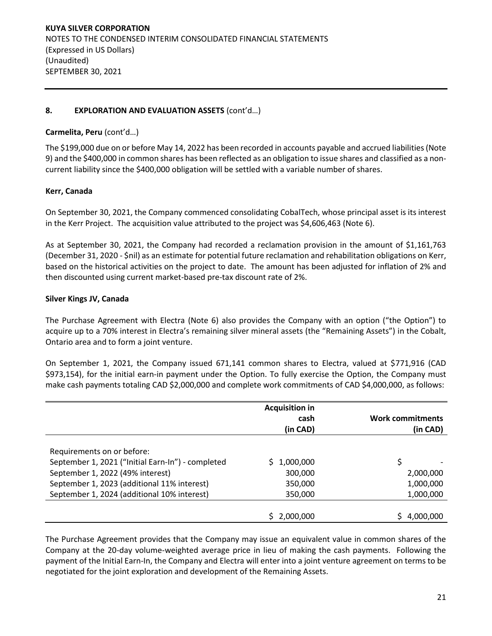# **8. EXPLORATION AND EVALUATION ASSETS** (cont'd…)

### **Carmelita, Peru** (cont'd…)

The \$199,000 due on or before May 14, 2022 has been recorded in accounts payable and accrued liabilities (Note 9) and the \$400,000 in common shares has been reflected as an obligation to issue shares and classified as a noncurrent liability since the \$400,000 obligation will be settled with a variable number of shares.

#### **Kerr, Canada**

On September 30, 2021, the Company commenced consolidating CobalTech, whose principal asset is its interest in the Kerr Project. The acquisition value attributed to the project was \$4,606,463 (Note 6).

As at September 30, 2021, the Company had recorded a reclamation provision in the amount of \$1,161,763 (December 31, 2020 - \$nil) as an estimate for potential future reclamation and rehabilitation obligations on Kerr, based on the historical activities on the project to date. The amount has been adjusted for inflation of 2% and then discounted using current market-based pre-tax discount rate of 2%.

#### **Silver Kings JV, Canada**

The Purchase Agreement with Electra (Note 6) also provides the Company with an option ("the Option") to acquire up to a 70% interest in Electra's remaining silver mineral assets (the "Remaining Assets") in the Cobalt, Ontario area and to form a joint venture.

On September 1, 2021, the Company issued 671,141 common shares to Electra, valued at \$771,916 (CAD \$973,154), for the initial earn-in payment under the Option. To fully exercise the Option, the Company must make cash payments totaling CAD \$2,000,000 and complete work commitments of CAD \$4,000,000, as follows:

|                                                   | <b>Acquisition in</b> |                         |
|---------------------------------------------------|-----------------------|-------------------------|
|                                                   | cash                  | <b>Work commitments</b> |
|                                                   | (in CAD)              | (in CAD)                |
|                                                   |                       |                         |
| Requirements on or before:                        |                       |                         |
| September 1, 2021 ("Initial Earn-In") - completed | 1,000,000             | \$                      |
| September 1, 2022 (49% interest)                  | 300,000               | 2,000,000               |
| September 1, 2023 (additional 11% interest)       | 350,000               | 1,000,000               |
| September 1, 2024 (additional 10% interest)       | 350,000               | 1,000,000               |
|                                                   |                       |                         |
|                                                   | 2,000,000             | 4,000,000               |

The Purchase Agreement provides that the Company may issue an equivalent value in common shares of the Company at the 20-day volume-weighted average price in lieu of making the cash payments. Following the payment of the Initial Earn-In, the Company and Electra will enter into a joint venture agreement on terms to be negotiated for the joint exploration and development of the Remaining Assets.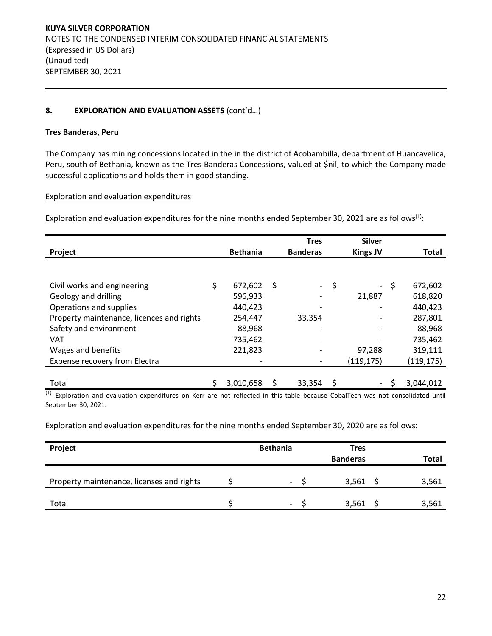# **8. EXPLORATION AND EVALUATION ASSETS** (cont'd…)

### **Tres Banderas, Peru**

The Company has mining concessions located in the in the district of Acobambilla, department of Huancavelica, Peru, south of Bethania, known as the Tres Banderas Concessions, valued at \$nil, to which the Company made successful applications and holds them in good standing.

Exploration and evaluation expenditures

Exploration and evaluation expenditures for the nine months ended September 30, 2021 are as follows<sup>(1)</sup>:

| Project                                   | <b>Bethania</b> | Tres<br><b>Banderas</b> |      | <b>Silver</b><br><b>Kings JV</b> |      | <b>Total</b> |
|-------------------------------------------|-----------------|-------------------------|------|----------------------------------|------|--------------|
|                                           |                 |                         |      |                                  |      |              |
| Civil works and engineering               | \$<br>672,602   | \$                      | - \$ |                                  | - \$ | 672,602      |
| Geology and drilling                      | 596,933         |                         |      | 21,887                           |      | 618,820      |
| Operations and supplies                   | 440,423         |                         |      |                                  |      | 440,423      |
| Property maintenance, licences and rights | 254,447         | 33,354                  |      |                                  |      | 287,801      |
| Safety and environment                    | 88,968          |                         |      |                                  |      | 88,968       |
| <b>VAT</b>                                | 735,462         |                         |      |                                  |      | 735,462      |
| Wages and benefits                        | 221,823         |                         |      | 97,288                           |      | 319,111      |
| Expense recovery from Electra             |                 |                         |      | (119, 175)                       |      | (119,175)    |
|                                           |                 |                         |      |                                  |      |              |
| Total                                     | 3,010,658       | 33,354                  | \$   | $\blacksquare$                   | \$.  | 3,044,012    |

(1) Exploration and evaluation expenditures on Kerr are not reflected in this table because CobalTech was not consolidated until September 30, 2021.

Exploration and evaluation expenditures for the nine months ended September 30, 2020 are as follows:

| Project                                   | <b>Bethania</b>          | <b>Tres</b><br><b>Banderas</b> | Total |
|-------------------------------------------|--------------------------|--------------------------------|-------|
| Property maintenance, licenses and rights | $\overline{\phantom{0}}$ | 3,561                          | 3,561 |
| Total                                     | $\overline{\phantom{0}}$ | 3,561                          | 3,561 |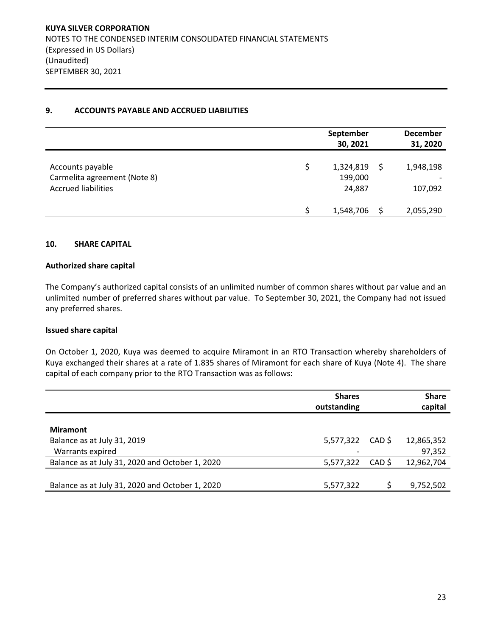### **9. ACCOUNTS PAYABLE AND ACCRUED LIABILITIES**

|                              | September<br>30, 2021 |    | <b>December</b><br>31, 2020 |
|------------------------------|-----------------------|----|-----------------------------|
|                              |                       |    |                             |
| Accounts payable             | 1,324,819             | -S | 1,948,198                   |
| Carmelita agreement (Note 8) | 199,000               |    |                             |
| <b>Accrued liabilities</b>   | 24,887                |    | 107,092                     |
|                              |                       |    |                             |
|                              | 1,548,706             |    | 2,055,290                   |

### **10. SHARE CAPITAL**

### **Authorized share capital**

The Company's authorized capital consists of an unlimited number of common shares without par value and an unlimited number of preferred shares without par value. To September 30, 2021, the Company had not issued any preferred shares.

#### **Issued share capital**

On October 1, 2020, Kuya was deemed to acquire Miramont in an RTO Transaction whereby shareholders of Kuya exchanged their shares at a rate of 1.835 shares of Miramont for each share of Kuya (Note 4). The share capital of each company prior to the RTO Transaction was as follows:

|                                                 | <b>Shares</b><br>outstanding |        | <b>Share</b><br>capital |
|-------------------------------------------------|------------------------------|--------|-------------------------|
| <b>Miramont</b>                                 |                              |        |                         |
| Balance as at July 31, 2019<br>Warrants expired | 5,577,322                    | CAD \$ | 12,865,352<br>97,352    |
| Balance as at July 31, 2020 and October 1, 2020 | 5,577,322                    | CAD \$ | 12,962,704              |
| Balance as at July 31, 2020 and October 1, 2020 | 5,577,322                    |        | 9,752,502               |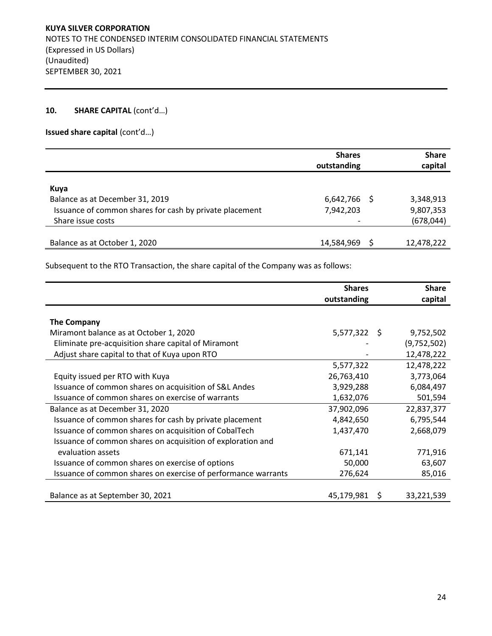### 10. **SHARE CAPITAL** (cont'd...)

**Issued share capital** (cont'd…)

|                                                                                                                         | <b>Shares</b><br>outstanding | <b>Share</b><br>capital              |
|-------------------------------------------------------------------------------------------------------------------------|------------------------------|--------------------------------------|
| Kuya<br>Balance as at December 31, 2019<br>Issuance of common shares for cash by private placement<br>Share issue costs | $6,642,766$ \$<br>7,942,203  | 3,348,913<br>9,807,353<br>(678, 044) |
| Balance as at October 1, 2020                                                                                           | 14,584,969                   | 12,478,222                           |

Subsequent to the RTO Transaction, the share capital of the Company was as follows:

|                                                               | <b>Shares</b><br>outstanding |     | <b>Share</b><br>capital |
|---------------------------------------------------------------|------------------------------|-----|-------------------------|
|                                                               |                              |     |                         |
| <b>The Company</b>                                            |                              |     |                         |
| Miramont balance as at October 1, 2020                        | $5,577,322$ \$               |     | 9,752,502               |
| Eliminate pre-acquisition share capital of Miramont           |                              |     | (9,752,502)             |
| Adjust share capital to that of Kuya upon RTO                 |                              |     | 12,478,222              |
|                                                               | 5,577,322                    |     | 12,478,222              |
| Equity issued per RTO with Kuya                               | 26,763,410                   |     | 3,773,064               |
| Issuance of common shares on acquisition of S&L Andes         | 3,929,288                    |     | 6,084,497               |
| Issuance of common shares on exercise of warrants             | 1,632,076                    |     | 501,594                 |
| Balance as at December 31, 2020                               | 37,902,096                   |     | 22,837,377              |
| Issuance of common shares for cash by private placement       | 4,842,650                    |     | 6,795,544               |
| Issuance of common shares on acquisition of CobalTech         | 1,437,470                    |     | 2,668,079               |
| Issuance of common shares on acquisition of exploration and   |                              |     |                         |
| evaluation assets                                             | 671,141                      |     | 771,916                 |
| Issuance of common shares on exercise of options              | 50,000                       |     | 63,607                  |
| Issuance of common shares on exercise of performance warrants | 276,624                      |     | 85,016                  |
|                                                               |                              |     |                         |
| Balance as at September 30, 2021                              | 45,179,981                   | - S | 33,221,539              |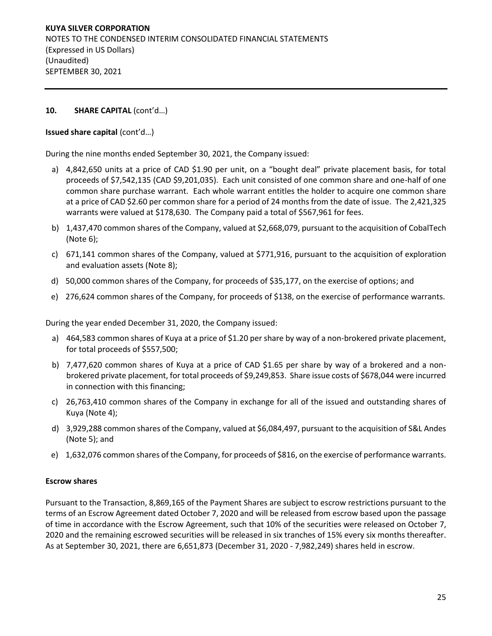# **10. SHARE CAPITAL** (cont'd…)

### **Issued share capital** (cont'd…)

During the nine months ended September 30, 2021, the Company issued:

- a) 4,842,650 units at a price of CAD \$1.90 per unit, on a "bought deal" private placement basis, for total proceeds of \$7,542,135 (CAD \$9,201,035). Each unit consisted of one common share and one-half of one common share purchase warrant. Each whole warrant entitles the holder to acquire one common share at a price of CAD \$2.60 per common share for a period of 24 months from the date of issue. The 2,421,325 warrants were valued at \$178,630. The Company paid a total of \$567,961 for fees.
- b) 1,437,470 common shares of the Company, valued at \$2,668,079, pursuant to the acquisition of CobalTech (Note 6);
- c) 671,141 common shares of the Company, valued at \$771,916, pursuant to the acquisition of exploration and evaluation assets (Note 8);
- d) 50,000 common shares of the Company, for proceeds of \$35,177, on the exercise of options; and
- e) 276,624 common shares of the Company, for proceeds of \$138, on the exercise of performance warrants.

During the year ended December 31, 2020, the Company issued:

- a) 464,583 common shares of Kuya at a price of \$1.20 per share by way of a non-brokered private placement, for total proceeds of \$557,500;
- b) 7,477,620 common shares of Kuya at a price of CAD \$1.65 per share by way of a brokered and a nonbrokered private placement, for total proceeds of \$9,249,853. Share issue costs of \$678,044 were incurred in connection with this financing;
- c) 26,763,410 common shares of the Company in exchange for all of the issued and outstanding shares of Kuya (Note 4);
- d) 3,929,288 common shares of the Company, valued at \$6,084,497, pursuant to the acquisition of S&L Andes (Note 5); and
- e) 1,632,076 common shares of the Company, for proceeds of \$816, on the exercise of performance warrants.

#### **Escrow shares**

Pursuant to the Transaction, 8,869,165 of the Payment Shares are subject to escrow restrictions pursuant to the terms of an Escrow Agreement dated October 7, 2020 and will be released from escrow based upon the passage of time in accordance with the Escrow Agreement, such that 10% of the securities were released on October 7, 2020 and the remaining escrowed securities will be released in six tranches of 15% every six months thereafter. As at September 30, 2021, there are 6,651,873 (December 31, 2020 - 7,982,249) shares held in escrow.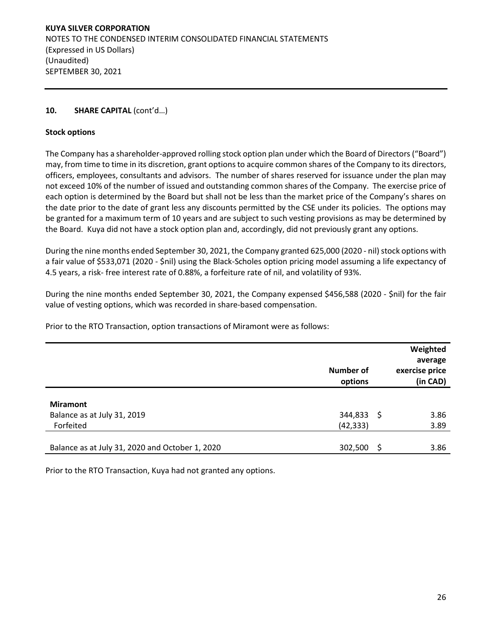# **10. SHARE CAPITAL** (cont'd…)

### **Stock options**

The Company has a shareholder-approved rolling stock option plan under which the Board of Directors ("Board") may, from time to time in its discretion, grant options to acquire common shares of the Company to its directors, officers, employees, consultants and advisors. The number of shares reserved for issuance under the plan may not exceed 10% of the number of issued and outstanding common shares of the Company. The exercise price of each option is determined by the Board but shall not be less than the market price of the Company's shares on the date prior to the date of grant less any discounts permitted by the CSE under its policies. The options may be granted for a maximum term of 10 years and are subject to such vesting provisions as may be determined by the Board. Kuya did not have a stock option plan and, accordingly, did not previously grant any options.

During the nine months ended September 30, 2021, the Company granted 625,000 (2020 - nil) stock options with a fair value of \$533,071 (2020 - \$nil) using the Black-Scholes option pricing model assuming a life expectancy of 4.5 years, a risk- free interest rate of 0.88%, a forfeiture rate of nil, and volatility of 93%.

During the nine months ended September 30, 2021, the Company expensed \$456,588 (2020 - \$nil) for the fair value of vesting options, which was recorded in share-based compensation.

Prior to the RTO Transaction, option transactions of Miramont were as follows:

|                                                 | <b>Number of</b><br>options |      | Weighted<br>average<br>exercise price<br>(in CAD) |
|-------------------------------------------------|-----------------------------|------|---------------------------------------------------|
|                                                 |                             |      |                                                   |
| <b>Miramont</b>                                 |                             |      |                                                   |
| Balance as at July 31, 2019                     | 344,833                     | - S  | 3.86                                              |
| Forfeited                                       | (42, 333)                   |      | 3.89                                              |
|                                                 |                             |      |                                                   |
| Balance as at July 31, 2020 and October 1, 2020 | 302,500                     | - \$ | 3.86                                              |

Prior to the RTO Transaction, Kuya had not granted any options.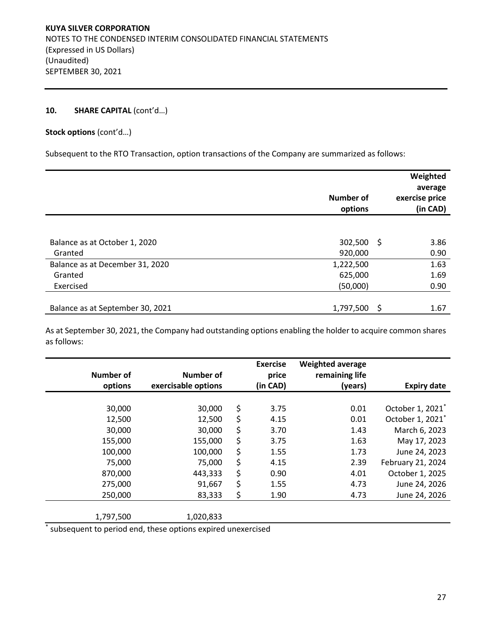# 10. **SHARE CAPITAL** (cont'd...)

### **Stock options** (cont'd…)

Subsequent to the RTO Transaction, option transactions of the Company are summarized as follows:

|                                          | Number of<br>options    |     | Weighted<br>average<br>exercise price<br>(in CAD) |
|------------------------------------------|-------------------------|-----|---------------------------------------------------|
|                                          |                         |     |                                                   |
| Balance as at October 1, 2020<br>Granted | $302,500$ \$<br>920,000 |     | 3.86<br>0.90                                      |
| Balance as at December 31, 2020          | 1,222,500               |     | 1.63                                              |
| Granted                                  | 625,000                 |     | 1.69                                              |
| Exercised                                | (50,000)                |     | 0.90                                              |
|                                          |                         |     |                                                   |
| Balance as at September 30, 2021         | 1,797,500               | -\$ | 1.67                                              |

As at September 30, 2021, the Company had outstanding options enabling the holder to acquire common shares as follows:

| <b>Number of</b> | <b>Number of</b>    | <b>Exercise</b><br>price | <b>Weighted average</b><br>remaining life |                              |
|------------------|---------------------|--------------------------|-------------------------------------------|------------------------------|
| options          | exercisable options | (in CAD)                 | (years)                                   | <b>Expiry date</b>           |
|                  |                     |                          |                                           |                              |
| 30,000           | 30,000              | \$<br>3.75               | 0.01                                      | October 1, 2021*             |
| 12,500           | 12,500              | \$<br>4.15               | 0.01                                      | October 1, 2021 <sup>*</sup> |
| 30,000           | 30,000              | \$<br>3.70               | 1.43                                      | March 6, 2023                |
| 155,000          | 155,000             | \$<br>3.75               | 1.63                                      | May 17, 2023                 |
| 100,000          | 100,000             | \$<br>1.55               | 1.73                                      | June 24, 2023                |
| 75,000           | 75,000              | \$<br>4.15               | 2.39                                      | February 21, 2024            |
| 870,000          | 443,333             | \$<br>0.90               | 4.01                                      | October 1, 2025              |
| 275,000          | 91,667              | \$<br>1.55               | 4.73                                      | June 24, 2026                |
| 250,000          | 83,333              | \$<br>1.90               | 4.73                                      | June 24, 2026                |
|                  |                     |                          |                                           |                              |
| 1,797,500        | 1,020,833           |                          |                                           |                              |

\* subsequent to period end, these options expired unexercised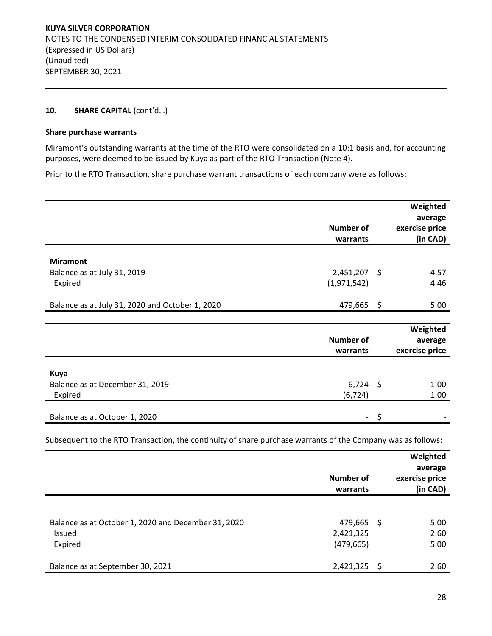# 10. **SHARE CAPITAL** (cont'd...)

#### **Share purchase warrants**

Miramont's outstanding warrants at the time of the RTO were consolidated on a 10:1 basis and, for accounting purposes, were deemed to be issued by Kuya as part of the RTO Transaction (Note 4).

Prior to the RTO Transaction, share purchase warrant transactions of each company were as follows:

|                                                 |                          | Weighted       |
|-------------------------------------------------|--------------------------|----------------|
|                                                 |                          | average        |
|                                                 | Number of                | exercise price |
|                                                 | warrants                 | (in CAD)       |
| <b>Miramont</b>                                 |                          |                |
| Balance as at July 31, 2019                     | $2,451,207$ \$           | 4.57           |
| Expired                                         | (1,971,542)              | 4.46           |
|                                                 |                          |                |
| Balance as at July 31, 2020 and October 1, 2020 | 479,665 \$               | 5.00           |
|                                                 |                          |                |
|                                                 |                          | Weighted       |
|                                                 | <b>Number of</b>         | average        |
|                                                 | warrants                 | exercise price |
|                                                 |                          |                |
| <b>Kuya</b>                                     |                          |                |
| Balance as at December 31, 2019                 | $6,724$ \$               | 1.00           |
| Expired                                         | (6, 724)                 | 1.00           |
|                                                 |                          |                |
| Balance as at October 1, 2020                   | $\overline{\phantom{0}}$ | \$             |

Subsequent to the RTO Transaction, the continuity of share purchase warrants of the Company was as follows:

|                                                                                 | Number of<br>warrants                 |   | Weighted<br>average<br>exercise price<br>(in CAD) |
|---------------------------------------------------------------------------------|---------------------------------------|---|---------------------------------------------------|
| Balance as at October 1, 2020 and December 31, 2020<br><b>Issued</b><br>Expired | 479,665 \$<br>2,421,325<br>(479, 665) |   | 5.00<br>2.60<br>5.00                              |
| Balance as at September 30, 2021                                                | 2,421,325                             | S | 2.60                                              |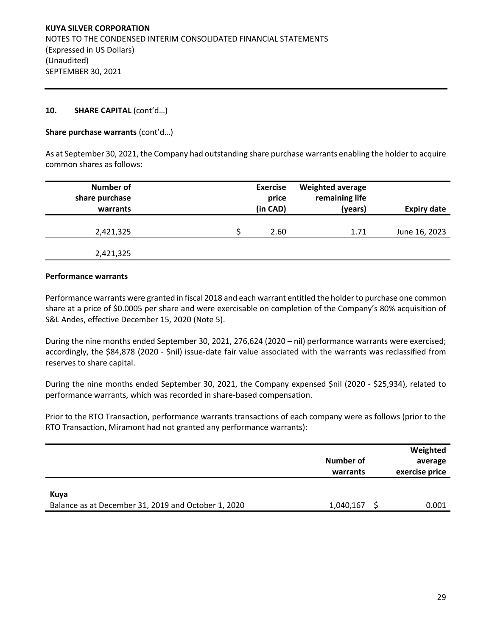### **10. SHARE CAPITAL** (cont'd…)

### **Share purchase warrants** (cont'd…)

As at September 30, 2021, the Company had outstanding share purchase warrants enabling the holder to acquire common shares as follows:

| <b>Expiry date</b> | <b>Weighted average</b><br>remaining life<br>(years) | <b>Exercise</b><br>price<br>(in CAD) | <b>Number of</b><br>share purchase<br>warrants |
|--------------------|------------------------------------------------------|--------------------------------------|------------------------------------------------|
| June 16, 2023      | 1.71                                                 | 2.60                                 | 2,421,325                                      |
|                    |                                                      |                                      | 2,421,325                                      |

#### **Performance warrants**

Performance warrants were granted in fiscal 2018 and each warrant entitled the holder to purchase one common share at a price of \$0.0005 per share and were exercisable on completion of the Company's 80% acquisition of S&L Andes, effective December 15, 2020 (Note 5).

During the nine months ended September 30, 2021, 276,624 (2020 – nil) performance warrants were exercised; accordingly, the \$84,878 (2020 - \$nil) issue-date fair value associated with the warrants was reclassified from reserves to share capital.

During the nine months ended September 30, 2021, the Company expensed \$nil (2020 - \$25,934), related to performance warrants, which was recorded in share-based compensation.

Prior to the RTO Transaction, performance warrants transactions of each company were as follows (prior to the RTO Transaction, Miramont had not granted any performance warrants):

|                                                             | Number of<br>warrants | Weighted<br>average<br>exercise price |
|-------------------------------------------------------------|-----------------------|---------------------------------------|
| Kuya<br>Balance as at December 31, 2019 and October 1, 2020 | 1,040,167             | 0.001                                 |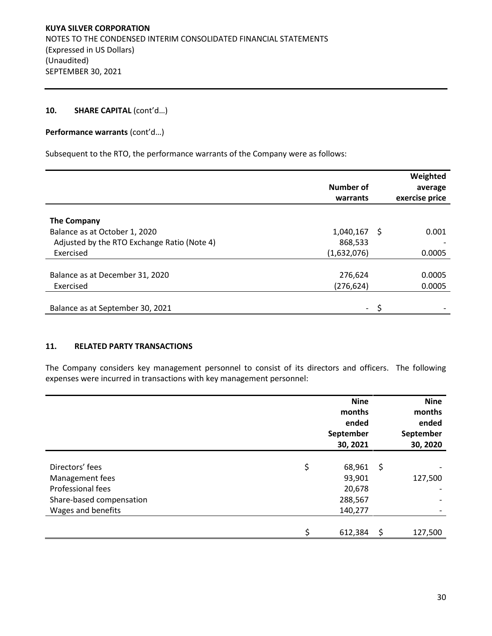### 10. **SHARE CAPITAL** (cont'd...)

**Performance warrants** (cont'd…)

Subsequent to the RTO, the performance warrants of the Company were as follows:

|             |                       | Weighted       |
|-------------|-----------------------|----------------|
|             |                       | average        |
|             |                       | exercise price |
|             |                       |                |
|             |                       |                |
| 1,040,167   |                       | 0.001          |
| 868,533     |                       |                |
| (1,632,076) |                       | 0.0005         |
|             |                       |                |
| 276,624     |                       | 0.0005         |
| (276,624)   |                       | 0.0005         |
|             |                       |                |
| -           |                       |                |
|             | Number of<br>warrants | - \$           |

### **11. RELATED PARTY TRANSACTIONS**

The Company considers key management personnel to consist of its directors and officers. The following expenses were incurred in transactions with key management personnel:

|                          | <b>Nine</b><br>months<br>ended<br>September<br>30, 2021 |     | <b>Nine</b><br>months<br>ended<br>September<br>30, 2020 |
|--------------------------|---------------------------------------------------------|-----|---------------------------------------------------------|
|                          |                                                         |     |                                                         |
| Directors' fees          | \$<br>68,961                                            | -\$ |                                                         |
| Management fees          | 93,901                                                  |     | 127,500                                                 |
| Professional fees        | 20,678                                                  |     |                                                         |
| Share-based compensation | 288,567                                                 |     |                                                         |
| Wages and benefits       | 140,277                                                 |     |                                                         |
|                          |                                                         |     |                                                         |
|                          | \$<br>612,384                                           | \$  | 127,500                                                 |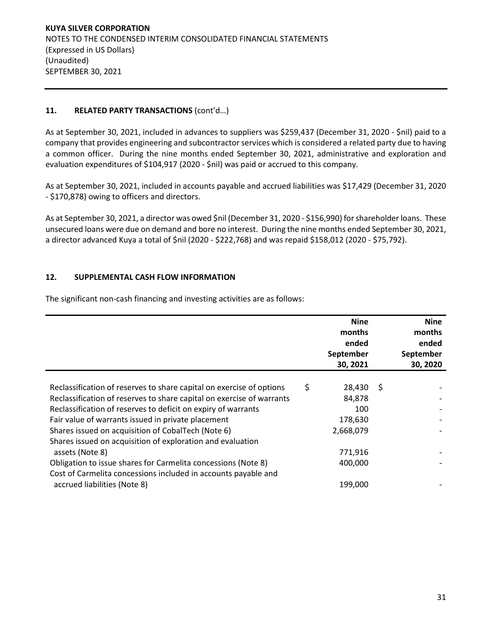# **11. RELATED PARTY TRANSACTIONS** (cont'd…)

As at September 30, 2021, included in advances to suppliers was \$259,437 (December 31, 2020 - \$nil) paid to a company that provides engineering and subcontractor services which is considered a related party due to having a common officer. During the nine months ended September 30, 2021, administrative and exploration and evaluation expenditures of \$104,917 (2020 - \$nil) was paid or accrued to this company.

As at September 30, 2021, included in accounts payable and accrued liabilities was \$17,429 (December 31, 2020 - \$170,878) owing to officers and directors.

As at September 30, 2021, a director was owed \$nil (December 31, 2020 - \$156,990) for shareholder loans. These unsecured loans were due on demand and bore no interest. During the nine months ended September 30, 2021, a director advanced Kuya a total of \$nil (2020 - \$222,768) and was repaid \$158,012 (2020 - \$75,792).

### **12. SUPPLEMENTAL CASH FLOW INFORMATION**

The significant non-cash financing and investing activities are as follows:

|                                                                       | <b>Nine</b><br>months<br>ended<br>September<br>30, 2021 |     | <b>Nine</b><br>months<br>ended<br>September<br>30, 2020 |
|-----------------------------------------------------------------------|---------------------------------------------------------|-----|---------------------------------------------------------|
|                                                                       |                                                         |     |                                                         |
| Reclassification of reserves to share capital on exercise of options  | \$<br>28,430                                            | -\$ |                                                         |
| Reclassification of reserves to share capital on exercise of warrants | 84,878                                                  |     |                                                         |
| Reclassification of reserves to deficit on expiry of warrants         | 100                                                     |     |                                                         |
| Fair value of warrants issued in private placement                    | 178,630                                                 |     |                                                         |
| Shares issued on acquisition of CobalTech (Note 6)                    | 2,668,079                                               |     |                                                         |
| Shares issued on acquisition of exploration and evaluation            |                                                         |     |                                                         |
| assets (Note 8)                                                       | 771,916                                                 |     |                                                         |
| Obligation to issue shares for Carmelita concessions (Note 8)         | 400,000                                                 |     |                                                         |
| Cost of Carmelita concessions included in accounts payable and        |                                                         |     |                                                         |
| accrued liabilities (Note 8)                                          | 199,000                                                 |     |                                                         |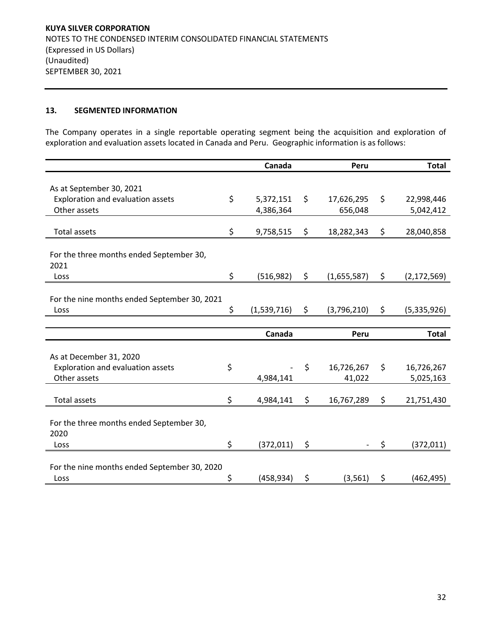### **13. SEGMENTED INFORMATION**

The Company operates in a single reportable operating segment being the acquisition and exploration of exploration and evaluation assets located in Canada and Peru. Geographic information is as follows:

|                                              | Canada            | Peru              | <b>Total</b>        |
|----------------------------------------------|-------------------|-------------------|---------------------|
|                                              |                   |                   |                     |
| As at September 30, 2021                     |                   |                   |                     |
| Exploration and evaluation assets            | \$<br>5,372,151   | \$<br>17,626,295  | \$<br>22,998,446    |
| Other assets                                 | 4,386,364         | 656,048           | 5,042,412           |
| <b>Total assets</b>                          | \$<br>9,758,515   | \$<br>18,282,343  | \$<br>28,040,858    |
|                                              |                   |                   |                     |
| For the three months ended September 30,     |                   |                   |                     |
| 2021                                         |                   |                   |                     |
| Loss                                         | \$<br>(516, 982)  | \$<br>(1,655,587) | \$<br>(2, 172, 569) |
|                                              |                   |                   |                     |
| For the nine months ended September 30, 2021 |                   |                   |                     |
| Loss                                         | \$<br>(1,539,716) | \$<br>(3,796,210) | \$<br>(5,335,926)   |
|                                              |                   |                   |                     |
|                                              |                   |                   |                     |
|                                              | Canada            | Peru              | <b>Total</b>        |
|                                              |                   |                   |                     |
| As at December 31, 2020                      |                   |                   |                     |
| Exploration and evaluation assets            | \$                | \$<br>16,726,267  | \$<br>16,726,267    |
| Other assets                                 | 4,984,141         | 41,022            | 5,025,163           |
| <b>Total assets</b>                          | \$<br>4,984,141   | \$<br>16,767,289  | \$<br>21,751,430    |
|                                              |                   |                   |                     |
| For the three months ended September 30,     |                   |                   |                     |
| 2020                                         |                   |                   |                     |
| Loss                                         | \$<br>(372, 011)  | \$                | \$<br>(372, 011)    |
|                                              |                   |                   |                     |
| For the nine months ended September 30, 2020 | \$<br>(458, 934)  | \$<br>(3, 561)    | \$<br>(462, 495)    |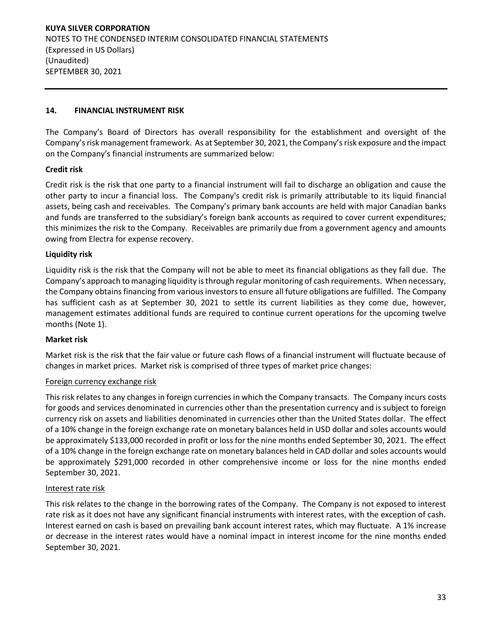# **14. FINANCIAL INSTRUMENT RISK**

The Company's Board of Directors has overall responsibility for the establishment and oversight of the Company's risk management framework. As at September 30, 2021, the Company's risk exposure and the impact on the Company's financial instruments are summarized below:

# **Credit risk**

Credit risk is the risk that one party to a financial instrument will fail to discharge an obligation and cause the other party to incur a financial loss. The Company's credit risk is primarily attributable to its liquid financial assets, being cash and receivables. The Company's primary bank accounts are held with major Canadian banks and funds are transferred to the subsidiary's foreign bank accounts as required to cover current expenditures; this minimizes the risk to the Company. Receivables are primarily due from a government agency and amounts owing from Electra for expense recovery.

# **Liquidity risk**

Liquidity risk is the risk that the Company will not be able to meet its financial obligations as they fall due. The Company's approach to managing liquidity is through regular monitoring of cash requirements. When necessary, the Company obtains financing from various investors to ensure all future obligations are fulfilled. The Company has sufficient cash as at September 30, 2021 to settle its current liabilities as they come due, however, management estimates additional funds are required to continue current operations for the upcoming twelve months (Note 1).

### **Market risk**

Market risk is the risk that the fair value or future cash flows of a financial instrument will fluctuate because of changes in market prices. Market risk is comprised of three types of market price changes:

### Foreign currency exchange risk

This risk relates to any changes in foreign currencies in which the Company transacts. The Company incurs costs for goods and services denominated in currencies other than the presentation currency and is subject to foreign currency risk on assets and liabilities denominated in currencies other than the United States dollar. The effect of a 10% change in the foreign exchange rate on monetary balances held in USD dollar and soles accounts would be approximately \$133,000 recorded in profit or loss for the nine months ended September 30, 2021. The effect of a 10% change in the foreign exchange rate on monetary balances held in CAD dollar and soles accounts would be approximately \$291,000 recorded in other comprehensive income or loss for the nine months ended September 30, 2021.

### Interest rate risk

This risk relates to the change in the borrowing rates of the Company. The Company is not exposed to interest rate risk as it does not have any significant financial instruments with interest rates, with the exception of cash. Interest earned on cash is based on prevailing bank account interest rates, which may fluctuate. A 1% increase or decrease in the interest rates would have a nominal impact in interest income for the nine months ended September 30, 2021.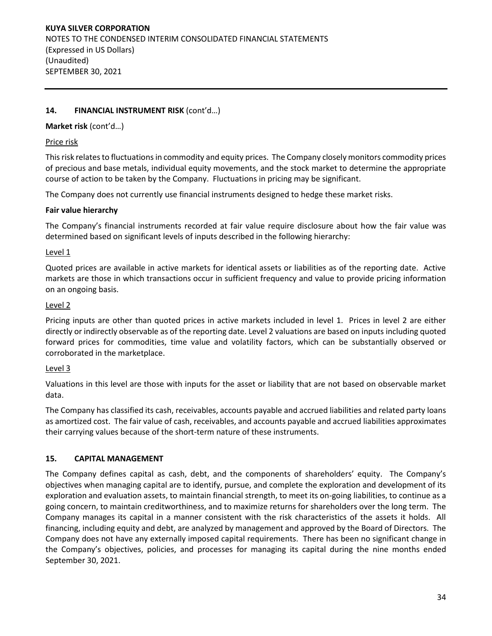# **14. FINANCIAL INSTRUMENT RISK** (cont'd…)

### **Market risk** (cont'd…)

### Price risk

This risk relates to fluctuations in commodity and equity prices. The Company closely monitors commodity prices of precious and base metals, individual equity movements, and the stock market to determine the appropriate course of action to be taken by the Company. Fluctuations in pricing may be significant.

The Company does not currently use financial instruments designed to hedge these market risks.

#### **Fair value hierarchy**

The Company's financial instruments recorded at fair value require disclosure about how the fair value was determined based on significant levels of inputs described in the following hierarchy:

#### Level 1

Quoted prices are available in active markets for identical assets or liabilities as of the reporting date. Active markets are those in which transactions occur in sufficient frequency and value to provide pricing information on an ongoing basis.

#### Level 2

Pricing inputs are other than quoted prices in active markets included in level 1. Prices in level 2 are either directly or indirectly observable as of the reporting date. Level 2 valuations are based on inputs including quoted forward prices for commodities, time value and volatility factors, which can be substantially observed or corroborated in the marketplace.

### Level 3

Valuations in this level are those with inputs for the asset or liability that are not based on observable market data.

The Company has classified its cash, receivables, accounts payable and accrued liabilities and related party loans as amortized cost. The fair value of cash, receivables, and accounts payable and accrued liabilities approximates their carrying values because of the short-term nature of these instruments.

### **15. CAPITAL MANAGEMENT**

The Company defines capital as cash, debt, and the components of shareholders' equity. The Company's objectives when managing capital are to identify, pursue, and complete the exploration and development of its exploration and evaluation assets, to maintain financial strength, to meet its on-going liabilities, to continue as a going concern, to maintain creditworthiness, and to maximize returns for shareholders over the long term. The Company manages its capital in a manner consistent with the risk characteristics of the assets it holds. All financing, including equity and debt, are analyzed by management and approved by the Board of Directors. The Company does not have any externally imposed capital requirements. There has been no significant change in the Company's objectives, policies, and processes for managing its capital during the nine months ended September 30, 2021.